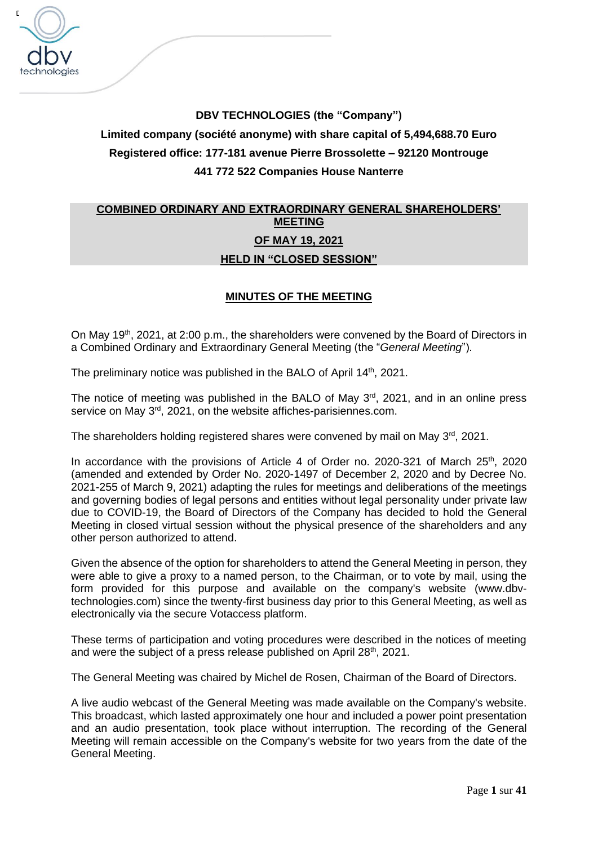

# **DBV TECHNOLOGIES (the "Company") Limited company (société anonyme) with share capital of 5,494,688.70 Euro Registered office: 177-181 avenue Pierre Brossolette – 92120 Montrouge 441 772 522 Companies House Nanterre**

## **COMBINED ORDINARY AND EXTRAORDINARY GENERAL SHAREHOLDERS' MEETING OF MAY 19, 2021 HELD IN "CLOSED SESSION"**

## **MINUTES OF THE MEETING**

On May 19<sup>th</sup>, 2021, at 2:00 p.m., the shareholders were convened by the Board of Directors in a Combined Ordinary and Extraordinary General Meeting (the "*General Meeting*").

The preliminary notice was published in the BALO of April 14<sup>th</sup>, 2021.

The notice of meeting was published in the BALO of May 3<sup>rd</sup>, 2021, and in an online press service on May 3<sup>rd</sup>, 2021, on the website affiches-parisiennes.com.

The shareholders holding registered shares were convened by mail on May  $3<sup>rd</sup>$ , 2021.

In accordance with the provisions of Article 4 of Order no. 2020-321 of March 25<sup>th</sup>, 2020 (amended and extended by Order No. 2020-1497 of December 2, 2020 and by Decree No. 2021-255 of March 9, 2021) adapting the rules for meetings and deliberations of the meetings and governing bodies of legal persons and entities without legal personality under private law due to COVID-19, the Board of Directors of the Company has decided to hold the General Meeting in closed virtual session without the physical presence of the shareholders and any other person authorized to attend.

Given the absence of the option for shareholders to attend the General Meeting in person, they were able to give a proxy to a named person, to the Chairman, or to vote by mail, using the form provided for this purpose and available on the company's website (www.dbvtechnologies.com) since the twenty-first business day prior to this General Meeting, as well as electronically via the secure Votaccess platform.

These terms of participation and voting procedures were described in the notices of meeting and were the subject of a press release published on April 28<sup>th</sup>, 2021.

The General Meeting was chaired by Michel de Rosen, Chairman of the Board of Directors.

A live audio webcast of the General Meeting was made available on the Company's website. This broadcast, which lasted approximately one hour and included a power point presentation and an audio presentation, took place without interruption. The recording of the General Meeting will remain accessible on the Company's website for two years from the date of the General Meeting.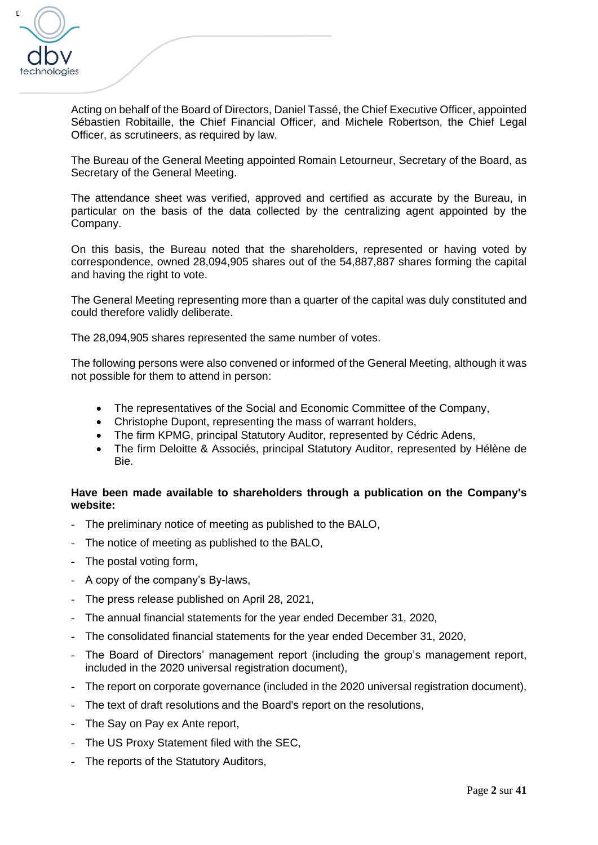

Acting on behalf of the Board of Directors, Daniel Tassé, the Chief Executive Officer, appointed Sébastien Robitaille, the Chief Financial Officer, and Michele Robertson, the Chief Legal Officer, as scrutineers, as required by law.

The Bureau of the General Meeting appointed Romain Letourneur, Secretary of the Board, as Secretary of the General Meeting.

The attendance sheet was verified, approved and certified as accurate by the Bureau, in particular on the basis of the data collected by the centralizing agent appointed by the Company.

On this basis, the Bureau noted that the shareholders, represented or having voted by correspondence, owned 28,094,905 shares out of the 54,887,887 shares forming the capital and having the right to vote.

The General Meeting representing more than a quarter of the capital was duly constituted and could therefore validly deliberate.

The 28,094,905 shares represented the same number of votes.

The following persons were also convened or informed of the General Meeting, although it was not possible for them to attend in person:

- The representatives of the Social and Economic Committee of the Company,
- Christophe Dupont, representing the mass of warrant holders,
- The firm KPMG, principal Statutory Auditor, represented by Cédric Adens,
- The firm Deloitte & Associés, principal Statutory Auditor, represented by Hélène de Bie.

## **Have been made available to shareholders through a publication on the Company's website:**

- The preliminary notice of meeting as published to the BALO,
- The notice of meeting as published to the BALO,
- The postal voting form.
- A copy of the company's By-laws,
- The press release published on April 28, 2021,
- The annual financial statements for the year ended December 31, 2020,
- The consolidated financial statements for the year ended December 31, 2020,
- The Board of Directors' management report (including the group's management report, included in the 2020 universal registration document),
- The report on corporate governance (included in the 2020 universal registration document),
- The text of draft resolutions and the Board's report on the resolutions,
- The Say on Pay ex Ante report.
- The US Proxy Statement filed with the SEC,
- The reports of the Statutory Auditors,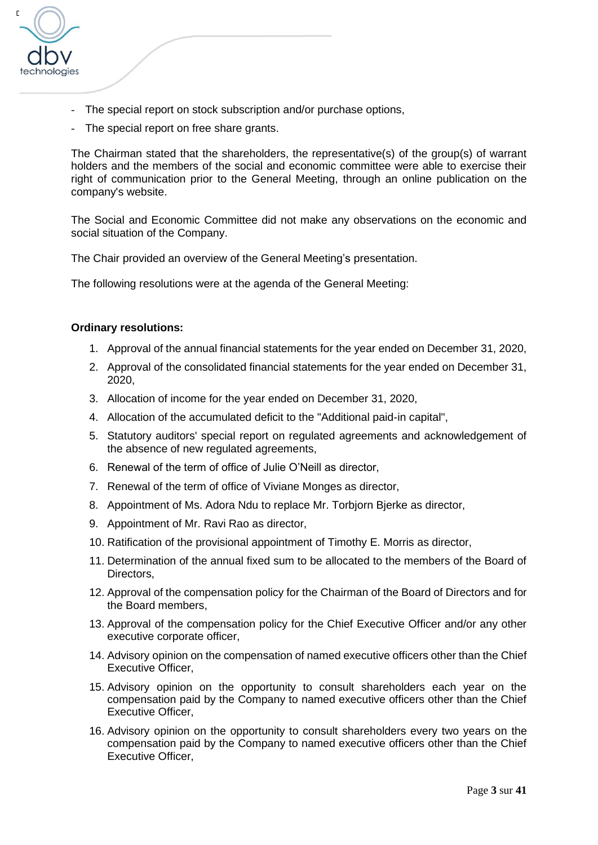

- The special report on stock subscription and/or purchase options,
- The special report on free share grants.

The Chairman stated that the shareholders, the representative(s) of the group(s) of warrant holders and the members of the social and economic committee were able to exercise their right of communication prior to the General Meeting, through an online publication on the company's website.

The Social and Economic Committee did not make any observations on the economic and social situation of the Company.

The Chair provided an overview of the General Meeting's presentation.

The following resolutions were at the agenda of the General Meeting:

#### **Ordinary resolutions:**

- 1. Approval of the annual financial statements for the year ended on December 31, 2020,
- 2. Approval of the consolidated financial statements for the year ended on December 31, 2020,
- 3. Allocation of income for the year ended on December 31, 2020,
- 4. Allocation of the accumulated deficit to the "Additional paid-in capital",
- 5. Statutory auditors' special report on regulated agreements and acknowledgement of the absence of new regulated agreements,
- 6. Renewal of the term of office of Julie O'Neill as director,
- 7. Renewal of the term of office of Viviane Monges as director,
- 8. Appointment of Ms. Adora Ndu to replace Mr. Torbjorn Bjerke as director,
- 9. Appointment of Mr. Ravi Rao as director,
- 10. Ratification of the provisional appointment of Timothy E. Morris as director,
- 11. Determination of the annual fixed sum to be allocated to the members of the Board of Directors,
- 12. Approval of the compensation policy for the Chairman of the Board of Directors and for the Board members,
- 13. Approval of the compensation policy for the Chief Executive Officer and/or any other executive corporate officer,
- 14. Advisory opinion on the compensation of named executive officers other than the Chief Executive Officer,
- 15. Advisory opinion on the opportunity to consult shareholders each year on the compensation paid by the Company to named executive officers other than the Chief Executive Officer,
- 16. Advisory opinion on the opportunity to consult shareholders every two years on the compensation paid by the Company to named executive officers other than the Chief Executive Officer,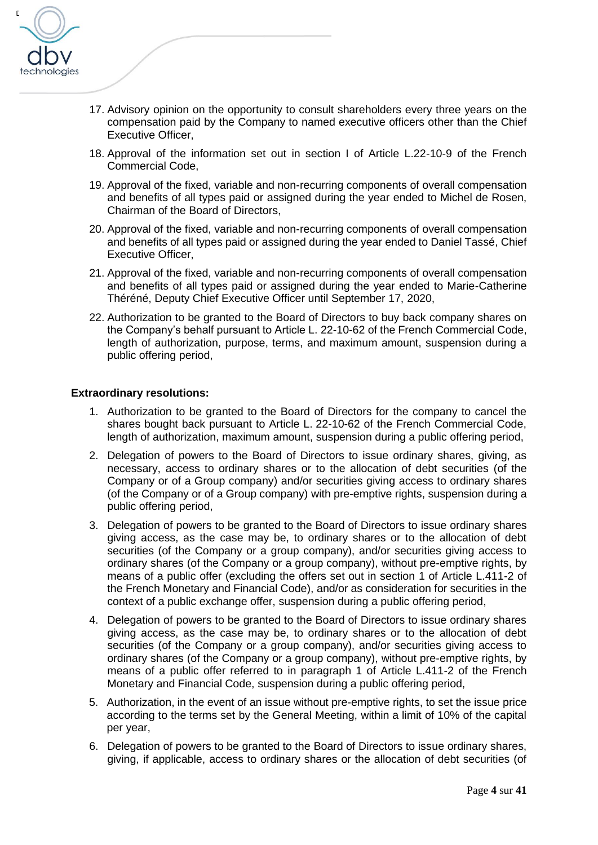

- 17. Advisory opinion on the opportunity to consult shareholders every three years on the compensation paid by the Company to named executive officers other than the Chief Executive Officer,
- 18. Approval of the information set out in section I of Article L.22-10-9 of the French Commercial Code,
- 19. Approval of the fixed, variable and non-recurring components of overall compensation and benefits of all types paid or assigned during the year ended to Michel de Rosen, Chairman of the Board of Directors,
- 20. Approval of the fixed, variable and non-recurring components of overall compensation and benefits of all types paid or assigned during the year ended to Daniel Tassé, Chief Executive Officer,
- 21. Approval of the fixed, variable and non-recurring components of overall compensation and benefits of all types paid or assigned during the year ended to Marie-Catherine Théréné, Deputy Chief Executive Officer until September 17, 2020,
- 22. Authorization to be granted to the Board of Directors to buy back company shares on the Company's behalf pursuant to Article L. 22-10-62 of the French Commercial Code, length of authorization, purpose, terms, and maximum amount, suspension during a public offering period,

### **Extraordinary resolutions:**

- 1. Authorization to be granted to the Board of Directors for the company to cancel the shares bought back pursuant to Article L. 22-10-62 of the French Commercial Code, length of authorization, maximum amount, suspension during a public offering period,
- 2. Delegation of powers to the Board of Directors to issue ordinary shares, giving, as necessary, access to ordinary shares or to the allocation of debt securities (of the Company or of a Group company) and/or securities giving access to ordinary shares (of the Company or of a Group company) with pre-emptive rights, suspension during a public offering period,
- 3. Delegation of powers to be granted to the Board of Directors to issue ordinary shares giving access, as the case may be, to ordinary shares or to the allocation of debt securities (of the Company or a group company), and/or securities giving access to ordinary shares (of the Company or a group company), without pre-emptive rights, by means of a public offer (excluding the offers set out in section 1 of Article L.411-2 of the French Monetary and Financial Code), and/or as consideration for securities in the context of a public exchange offer, suspension during a public offering period,
- 4. Delegation of powers to be granted to the Board of Directors to issue ordinary shares giving access, as the case may be, to ordinary shares or to the allocation of debt securities (of the Company or a group company), and/or securities giving access to ordinary shares (of the Company or a group company), without pre-emptive rights, by means of a public offer referred to in paragraph 1 of Article L.411-2 of the French Monetary and Financial Code, suspension during a public offering period,
- 5. Authorization, in the event of an issue without pre-emptive rights, to set the issue price according to the terms set by the General Meeting, within a limit of 10% of the capital per year,
- 6. Delegation of powers to be granted to the Board of Directors to issue ordinary shares, giving, if applicable, access to ordinary shares or the allocation of debt securities (of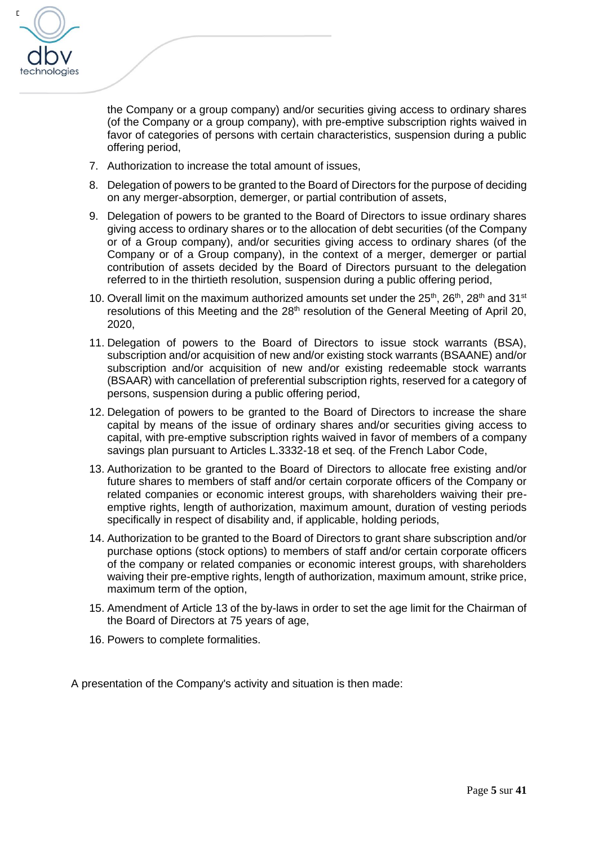

the Company or a group company) and/or securities giving access to ordinary shares (of the Company or a group company), with pre-emptive subscription rights waived in favor of categories of persons with certain characteristics, suspension during a public offering period,

- 7. Authorization to increase the total amount of issues,
- 8. Delegation of powers to be granted to the Board of Directors for the purpose of deciding on any merger-absorption, demerger, or partial contribution of assets,
- 9. Delegation of powers to be granted to the Board of Directors to issue ordinary shares giving access to ordinary shares or to the allocation of debt securities (of the Company or of a Group company), and/or securities giving access to ordinary shares (of the Company or of a Group company), in the context of a merger, demerger or partial contribution of assets decided by the Board of Directors pursuant to the delegation referred to in the thirtieth resolution, suspension during a public offering period,
- 10. Overall limit on the maximum authorized amounts set under the  $25<sup>th</sup>$ ,  $26<sup>th</sup>$ ,  $28<sup>th</sup>$  and  $31<sup>st</sup>$ resolutions of this Meeting and the 28<sup>th</sup> resolution of the General Meeting of April 20, 2020,
- 11. Delegation of powers to the Board of Directors to issue stock warrants (BSA), subscription and/or acquisition of new and/or existing stock warrants (BSAANE) and/or subscription and/or acquisition of new and/or existing redeemable stock warrants (BSAAR) with cancellation of preferential subscription rights, reserved for a category of persons, suspension during a public offering period,
- 12. Delegation of powers to be granted to the Board of Directors to increase the share capital by means of the issue of ordinary shares and/or securities giving access to capital, with pre-emptive subscription rights waived in favor of members of a company savings plan pursuant to Articles L.3332-18 et seq. of the French Labor Code,
- 13. Authorization to be granted to the Board of Directors to allocate free existing and/or future shares to members of staff and/or certain corporate officers of the Company or related companies or economic interest groups, with shareholders waiving their preemptive rights, length of authorization, maximum amount, duration of vesting periods specifically in respect of disability and, if applicable, holding periods,
- 14. Authorization to be granted to the Board of Directors to grant share subscription and/or purchase options (stock options) to members of staff and/or certain corporate officers of the company or related companies or economic interest groups, with shareholders waiving their pre-emptive rights, length of authorization, maximum amount, strike price, maximum term of the option,
- 15. Amendment of Article 13 of the by-laws in order to set the age limit for the Chairman of the Board of Directors at 75 years of age,
- 16. Powers to complete formalities.

A presentation of the Company's activity and situation is then made: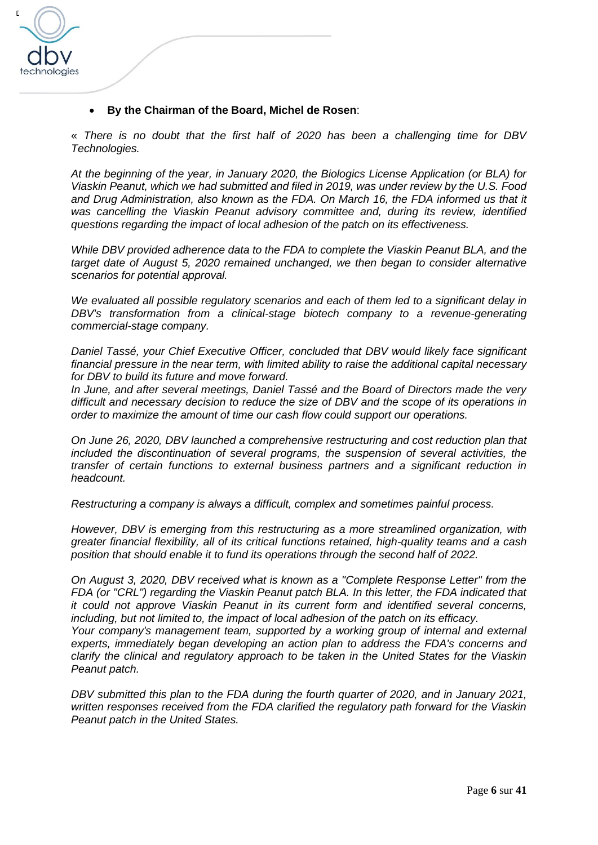

## • **By the Chairman of the Board, Michel de Rosen**:

« *There is no doubt that the first half of 2020 has been a challenging time for DBV Technologies.* 

*At the beginning of the year, in January 2020, the Biologics License Application (or BLA) for Viaskin Peanut, which we had submitted and filed in 2019, was under review by the U.S. Food*  and Drug Administration, also known as the FDA. On March 16, the FDA informed us that it *was cancelling the Viaskin Peanut advisory committee and, during its review, identified questions regarding the impact of local adhesion of the patch on its effectiveness.* 

*While DBV provided adherence data to the FDA to complete the Viaskin Peanut BLA, and the target date of August 5, 2020 remained unchanged, we then began to consider alternative scenarios for potential approval.* 

*We evaluated all possible regulatory scenarios and each of them led to a significant delay in DBV's transformation from a clinical-stage biotech company to a revenue-generating commercial-stage company.*

*Daniel Tassé, your Chief Executive Officer, concluded that DBV would likely face significant financial pressure in the near term, with limited ability to raise the additional capital necessary for DBV to build its future and move forward.* 

*In June, and after several meetings, Daniel Tassé and the Board of Directors made the very difficult and necessary decision to reduce the size of DBV and the scope of its operations in order to maximize the amount of time our cash flow could support our operations.* 

*On June 26, 2020, DBV launched a comprehensive restructuring and cost reduction plan that included the discontinuation of several programs, the suspension of several activities, the transfer of certain functions to external business partners and a significant reduction in headcount.* 

*Restructuring a company is always a difficult, complex and sometimes painful process.* 

*However, DBV is emerging from this restructuring as a more streamlined organization, with greater financial flexibility, all of its critical functions retained, high-quality teams and a cash position that should enable it to fund its operations through the second half of 2022.*

*On August 3, 2020, DBV received what is known as a "Complete Response Letter" from the FDA (or "CRL") regarding the Viaskin Peanut patch BLA. In this letter, the FDA indicated that it could not approve Viaskin Peanut in its current form and identified several concerns, including, but not limited to, the impact of local adhesion of the patch on its efficacy.*

*Your company's management team, supported by a working group of internal and external experts, immediately began developing an action plan to address the FDA's concerns and clarify the clinical and regulatory approach to be taken in the United States for the Viaskin Peanut patch.* 

*DBV submitted this plan to the FDA during the fourth quarter of 2020, and in January 2021, written responses received from the FDA clarified the regulatory path forward for the Viaskin Peanut patch in the United States.*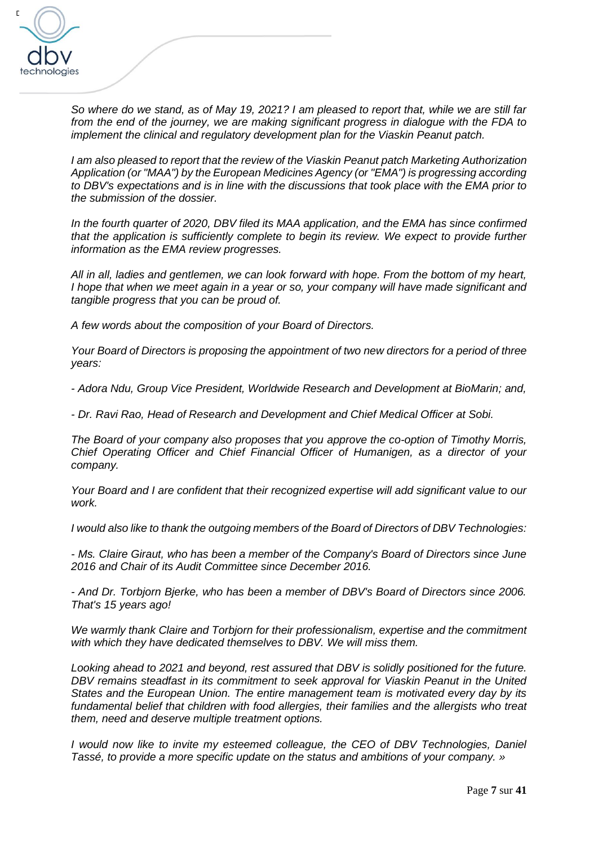

*So where do we stand, as of May 19, 2021? I am pleased to report that, while we are still far from the end of the journey, we are making significant progress in dialogue with the FDA to implement the clinical and regulatory development plan for the Viaskin Peanut patch.* 

*I am also pleased to report that the review of the Viaskin Peanut patch Marketing Authorization Application (or "MAA") by the European Medicines Agency (or "EMA") is progressing according to DBV's expectations and is in line with the discussions that took place with the EMA prior to the submission of the dossier.* 

In the fourth quarter of 2020, DBV filed its MAA application, and the EMA has since confirmed *that the application is sufficiently complete to begin its review. We expect to provide further information as the EMA review progresses.* 

*All in all, ladies and gentlemen, we can look forward with hope. From the bottom of my heart, I hope that when we meet again in a year or so, your company will have made significant and tangible progress that you can be proud of.*

*A few words about the composition of your Board of Directors.*

*Your Board of Directors is proposing the appointment of two new directors for a period of three years:*

*- Adora Ndu, Group Vice President, Worldwide Research and Development at BioMarin; and,*

*- Dr. Ravi Rao, Head of Research and Development and Chief Medical Officer at Sobi.*

*The Board of your company also proposes that you approve the co-option of Timothy Morris, Chief Operating Officer and Chief Financial Officer of Humanigen, as a director of your company.*

*Your Board and I are confident that their recognized expertise will add significant value to our work.*

*I would also like to thank the outgoing members of the Board of Directors of DBV Technologies:*

*- Ms. Claire Giraut, who has been a member of the Company's Board of Directors since June 2016 and Chair of its Audit Committee since December 2016.* 

*- And Dr. Torbjorn Bjerke, who has been a member of DBV's Board of Directors since 2006. That's 15 years ago!* 

*We warmly thank Claire and Torbjorn for their professionalism, expertise and the commitment with which they have dedicated themselves to DBV. We will miss them.*

*Looking ahead to 2021 and beyond, rest assured that DBV is solidly positioned for the future. DBV remains steadfast in its commitment to seek approval for Viaskin Peanut in the United States and the European Union. The entire management team is motivated every day by its*  fundamental belief that children with food allergies, their families and the allergists who treat *them, need and deserve multiple treatment options.*

*I* would now like to invite my esteemed colleague, the CEO of DBV Technologies, Daniel *Tassé, to provide a more specific update on the status and ambitions of your company. »*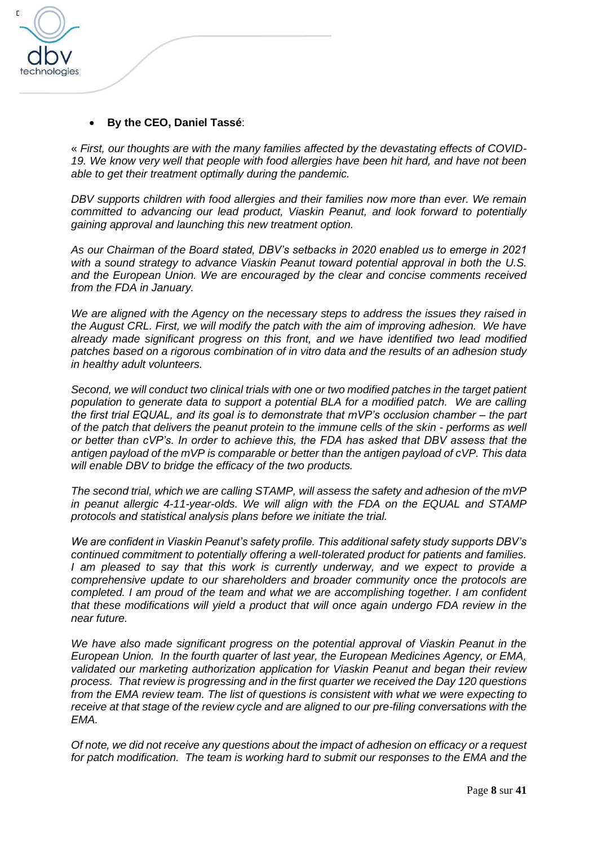

## • **By the CEO, Daniel Tassé**:

« *First, our thoughts are with the many families affected by the devastating effects of COVID-19. We know very well that people with food allergies have been hit hard, and have not been able to get their treatment optimally during the pandemic.* 

*DBV supports children with food allergies and their families now more than ever. We remain committed to advancing our lead product, Viaskin Peanut, and look forward to potentially gaining approval and launching this new treatment option.*

*As our Chairman of the Board stated, DBV's setbacks in 2020 enabled us to emerge in 2021*  with a sound strategy to advance Viaskin Peanut toward potential approval in both the U.S. *and the European Union. We are encouraged by the clear and concise comments received from the FDA in January.* 

*We are aligned with the Agency on the necessary steps to address the issues they raised in the August CRL. First, we will modify the patch with the aim of improving adhesion. We have already made significant progress on this front, and we have identified two lead modified patches based on a rigorous combination of in vitro data and the results of an adhesion study in healthy adult volunteers.* 

*Second, we will conduct two clinical trials with one or two modified patches in the target patient population to generate data to support a potential BLA for a modified patch. We are calling the first trial EQUAL, and its goal is to demonstrate that mVP's occlusion chamber – the part of the patch that delivers the peanut protein to the immune cells of the skin - performs as well or better than cVP's. In order to achieve this, the FDA has asked that DBV assess that the antigen payload of the mVP is comparable or better than the antigen payload of cVP. This data will enable DBV to bridge the efficacy of the two products.* 

*The second trial, which we are calling STAMP, will assess the safety and adhesion of the mVP in peanut allergic 4-11-year-olds. We will align with the FDA on the EQUAL and STAMP protocols and statistical analysis plans before we initiate the trial.* 

*We are confident in Viaskin Peanut's safety profile. This additional safety study supports DBV's continued commitment to potentially offering a well-tolerated product for patients and families. I am pleased to say that this work is currently underway, and we expect to provide a comprehensive update to our shareholders and broader community once the protocols are completed. I am proud of the team and what we are accomplishing together. I am confident that these modifications will yield a product that will once again undergo FDA review in the near future.*

*We have also made significant progress on the potential approval of Viaskin Peanut in the European Union. In the fourth quarter of last year, the European Medicines Agency, or EMA, validated our marketing authorization application for Viaskin Peanut and began their review process. That review is progressing and in the first quarter we received the Day 120 questions*  from the EMA review team. The list of questions is consistent with what we were expecting to *receive at that stage of the review cycle and are aligned to our pre-filing conversations with the EMA.* 

*Of note, we did not receive any questions about the impact of adhesion on efficacy or a request*  for patch modification. The team is working hard to submit our responses to the EMA and the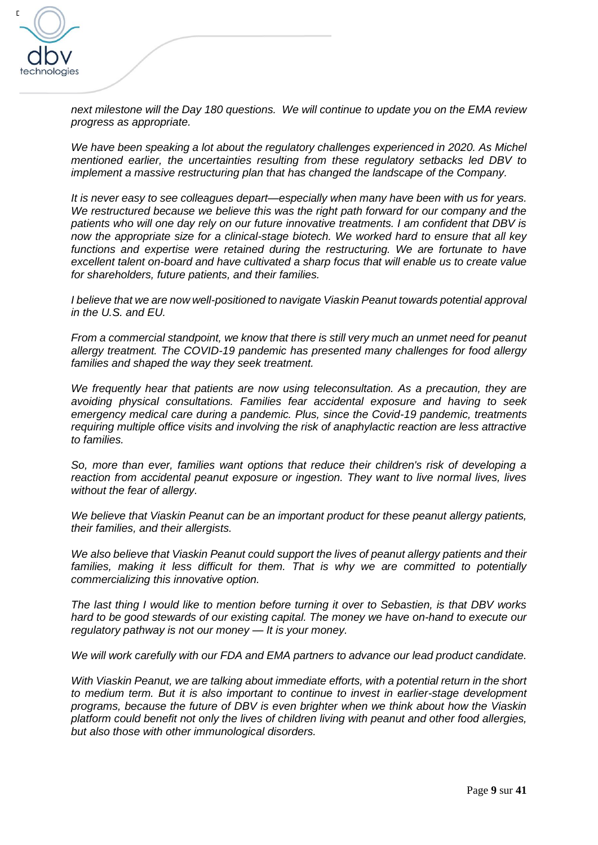

*next milestone will the Day 180 questions. We will continue to update you on the EMA review progress as appropriate.*

*We have been speaking a lot about the regulatory challenges experienced in 2020. As Michel mentioned earlier, the uncertainties resulting from these regulatory setbacks led DBV to implement a massive restructuring plan that has changed the landscape of the Company.* 

*It is never easy to see colleagues depart—especially when many have been with us for years. We restructured because we believe this was the right path forward for our company and the patients who will one day rely on our future innovative treatments. I am confident that DBV is now the appropriate size for a clinical-stage biotech. We worked hard to ensure that all key*  functions and expertise were retained during the restructuring. We are fortunate to have *excellent talent on-board and have cultivated a sharp focus that will enable us to create value for shareholders, future patients, and their families.* 

*I believe that we are now well-positioned to navigate Viaskin Peanut towards potential approval in the U.S. and EU.* 

*From a commercial standpoint, we know that there is still very much an unmet need for peanut allergy treatment. The COVID-19 pandemic has presented many challenges for food allergy families and shaped the way they seek treatment.* 

*We frequently hear that patients are now using teleconsultation. As a precaution, they are avoiding physical consultations. Families fear accidental exposure and having to seek emergency medical care during a pandemic. Plus, since the Covid-19 pandemic, treatments requiring multiple office visits and involving the risk of anaphylactic reaction are less attractive to families.* 

*So, more than ever, families want options that reduce their children's risk of developing a reaction from accidental peanut exposure or ingestion. They want to live normal lives, lives without the fear of allergy.* 

*We believe that Viaskin Peanut can be an important product for these peanut allergy patients, their families, and their allergists.*

*We also believe that Viaskin Peanut could support the lives of peanut allergy patients and their*  families, making it less difficult for them. That is why we are committed to potentially *commercializing this innovative option.* 

*The last thing I would like to mention before turning it over to Sebastien, is that DBV works hard to be good stewards of our existing capital. The money we have on-hand to execute our regulatory pathway is not our money — It is your money.* 

*We will work carefully with our FDA and EMA partners to advance our lead product candidate.* 

*With Viaskin Peanut, we are talking about immediate efforts, with a potential return in the short to medium term. But it is also important to continue to invest in earlier-stage development programs, because the future of DBV is even brighter when we think about how the Viaskin platform could benefit not only the lives of children living with peanut and other food allergies, but also those with other immunological disorders.*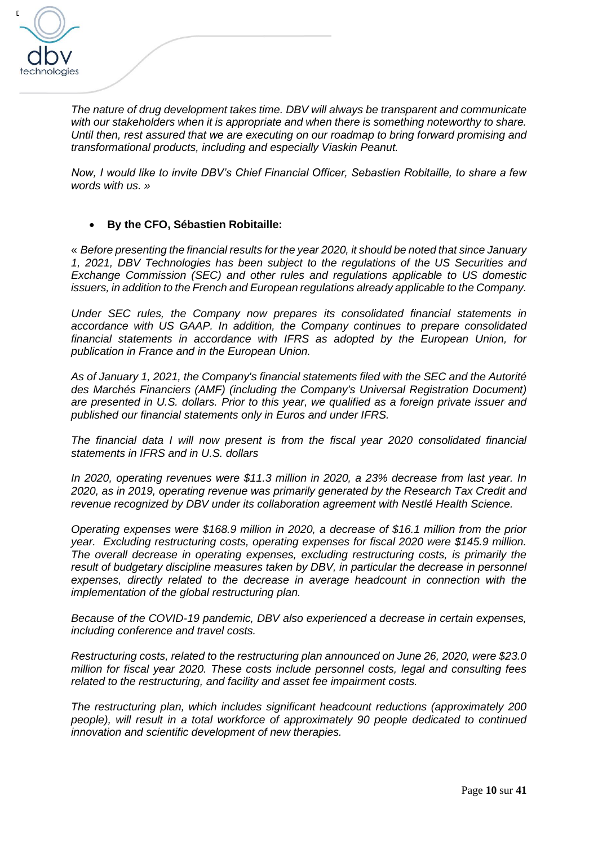

*The nature of drug development takes time. DBV will always be transparent and communicate with our stakeholders when it is appropriate and when there is something noteworthy to share. Until then, rest assured that we are executing on our roadmap to bring forward promising and transformational products, including and especially Viaskin Peanut.* 

*Now, I would like to invite DBV's Chief Financial Officer, Sebastien Robitaille, to share a few words with us. »*

## • **By the CFO, Sébastien Robitaille:**

« *Before presenting the financial results for the year 2020, it should be noted that since January 1, 2021, DBV Technologies has been subject to the regulations of the US Securities and Exchange Commission (SEC) and other rules and regulations applicable to US domestic issuers, in addition to the French and European regulations already applicable to the Company.* 

*Under SEC rules, the Company now prepares its consolidated financial statements in accordance with US GAAP. In addition, the Company continues to prepare consolidated financial statements in accordance with IFRS as adopted by the European Union, for publication in France and in the European Union.*

*As of January 1, 2021, the Company's financial statements filed with the SEC and the Autorité des Marchés Financiers (AMF) (including the Company's Universal Registration Document) are presented in U.S. dollars. Prior to this year, we qualified as a foreign private issuer and published our financial statements only in Euros and under IFRS.*

*The financial data I will now present is from the fiscal year 2020 consolidated financial statements in IFRS and in U.S. dollars* 

*In 2020, operating revenues were \$11.3 million in 2020, a 23% decrease from last year. In 2020, as in 2019, operating revenue was primarily generated by the Research Tax Credit and revenue recognized by DBV under its collaboration agreement with Nestlé Health Science.*

*Operating expenses were \$168.9 million in 2020, a decrease of \$16.1 million from the prior year. Excluding restructuring costs, operating expenses for fiscal 2020 were \$145.9 million. The overall decrease in operating expenses, excluding restructuring costs, is primarily the*  result of budgetary discipline measures taken by DBV, in particular the decrease in personnel *expenses, directly related to the decrease in average headcount in connection with the implementation of the global restructuring plan.*

*Because of the COVID-19 pandemic, DBV also experienced a decrease in certain expenses, including conference and travel costs.*

*Restructuring costs, related to the restructuring plan announced on June 26, 2020, were \$23.0 million for fiscal year 2020. These costs include personnel costs, legal and consulting fees related to the restructuring, and facility and asset fee impairment costs.*

*The restructuring plan, which includes significant headcount reductions (approximately 200 people), will result in a total workforce of approximately 90 people dedicated to continued innovation and scientific development of new therapies.*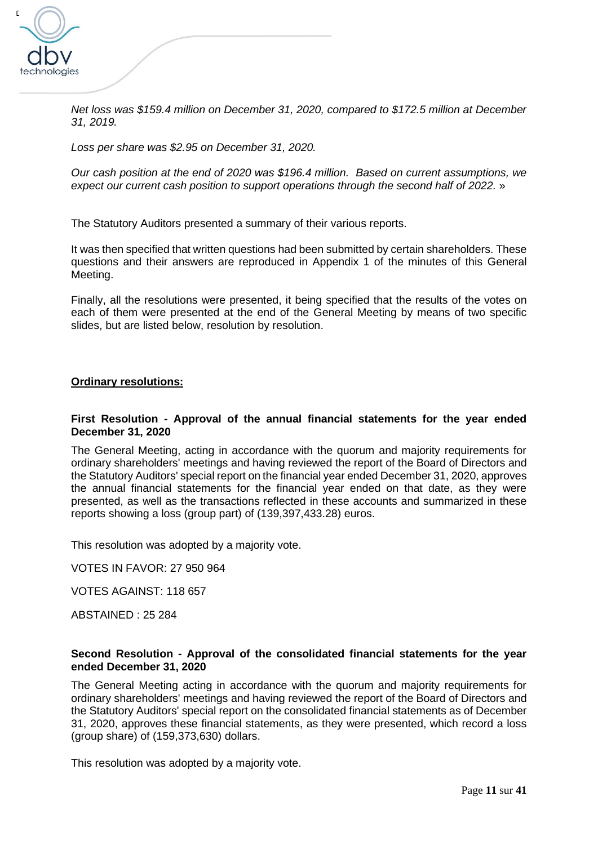

*Net loss was \$159.4 million on December 31, 2020, compared to \$172.5 million at December 31, 2019.* 

*Loss per share was \$2.95 on December 31, 2020.*

*Our cash position at the end of 2020 was \$196.4 million. Based on current assumptions, we expect our current cash position to support operations through the second half of 2022.* »

The Statutory Auditors presented a summary of their various reports.

It was then specified that written questions had been submitted by certain shareholders. These questions and their answers are reproduced in Appendix 1 of the minutes of this General Meeting.

Finally, all the resolutions were presented, it being specified that the results of the votes on each of them were presented at the end of the General Meeting by means of two specific slides, but are listed below, resolution by resolution.

#### **Ordinary resolutions:**

#### **First Resolution - Approval of the annual financial statements for the year ended December 31, 2020**

The General Meeting, acting in accordance with the quorum and majority requirements for ordinary shareholders' meetings and having reviewed the report of the Board of Directors and the Statutory Auditors' special report on the financial year ended December 31, 2020, approves the annual financial statements for the financial year ended on that date, as they were presented, as well as the transactions reflected in these accounts and summarized in these reports showing a loss (group part) of (139,397,433.28) euros.

This resolution was adopted by a majority vote.

VOTES IN FAVOR: 27 950 964

VOTES AGAINST: 118 657

ABSTAINED : 25 284

#### **Second Resolution - Approval of the consolidated financial statements for the year ended December 31, 2020**

The General Meeting acting in accordance with the quorum and majority requirements for ordinary shareholders' meetings and having reviewed the report of the Board of Directors and the Statutory Auditors' special report on the consolidated financial statements as of December 31, 2020, approves these financial statements, as they were presented, which record a loss (group share) of (159,373,630) dollars.

This resolution was adopted by a majority vote.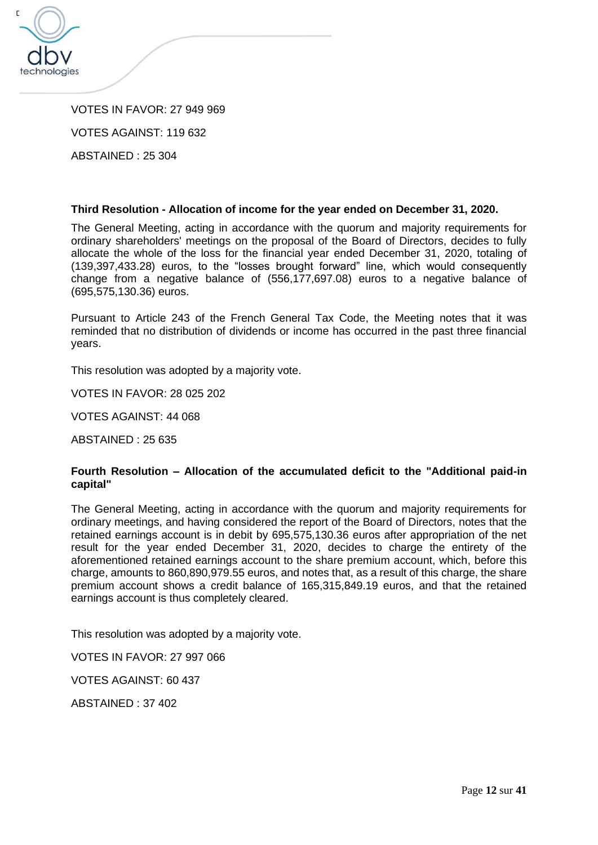

VOTES IN FAVOR: 27 949 969 VOTES AGAINST: 119 632

ABSTAINED : 25 304

## **Third Resolution - Allocation of income for the year ended on December 31, 2020.**

The General Meeting, acting in accordance with the quorum and majority requirements for ordinary shareholders' meetings on the proposal of the Board of Directors, decides to fully allocate the whole of the loss for the financial year ended December 31, 2020, totaling of (139,397,433.28) euros, to the "losses brought forward" line, which would consequently change from a negative balance of (556,177,697.08) euros to a negative balance of (695,575,130.36) euros.

Pursuant to Article 243 of the French General Tax Code, the Meeting notes that it was reminded that no distribution of dividends or income has occurred in the past three financial years.

This resolution was adopted by a majority vote.

VOTES IN FAVOR: 28 025 202

VOTES AGAINST: 44 068

ABSTAINED : 25 635

#### **Fourth Resolution – Allocation of the accumulated deficit to the "Additional paid-in capital"**

The General Meeting, acting in accordance with the quorum and majority requirements for ordinary meetings, and having considered the report of the Board of Directors, notes that the retained earnings account is in debit by 695,575,130.36 euros after appropriation of the net result for the year ended December 31, 2020, decides to charge the entirety of the aforementioned retained earnings account to the share premium account, which, before this charge, amounts to 860,890,979.55 euros, and notes that, as a result of this charge, the share premium account shows a credit balance of 165,315,849.19 euros, and that the retained earnings account is thus completely cleared.

This resolution was adopted by a majority vote.

VOTES IN FAVOR: 27 997 066

VOTES AGAINST: 60 437

ABSTAINED : 37 402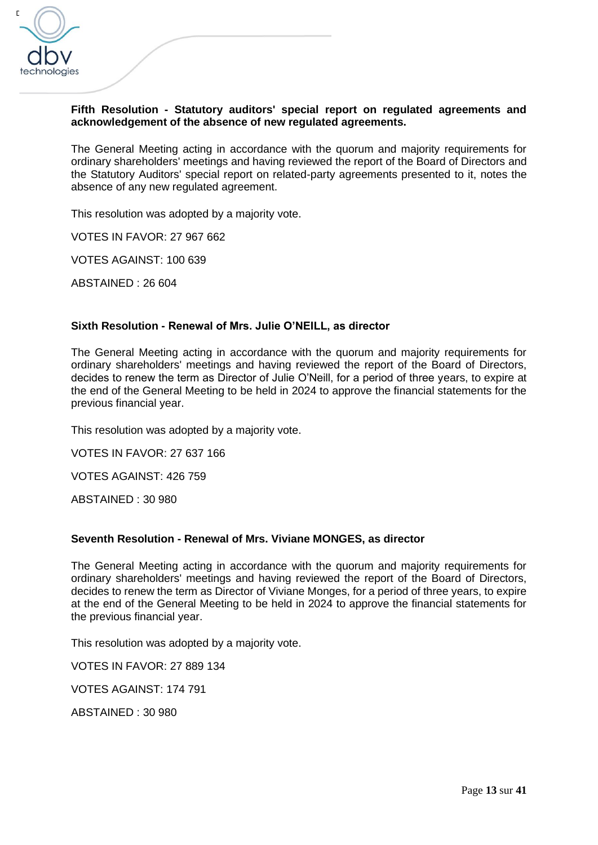

## **Fifth Resolution - Statutory auditors' special report on regulated agreements and acknowledgement of the absence of new regulated agreements.**

The General Meeting acting in accordance with the quorum and majority requirements for ordinary shareholders' meetings and having reviewed the report of the Board of Directors and the Statutory Auditors' special report on related-party agreements presented to it, notes the absence of any new regulated agreement.

This resolution was adopted by a majority vote.

VOTES IN FAVOR: 27 967 662

VOTES AGAINST: 100 639

ABSTAINED : 26 604

#### **Sixth Resolution - Renewal of Mrs. Julie O'NEILL, as director**

The General Meeting acting in accordance with the quorum and majority requirements for ordinary shareholders' meetings and having reviewed the report of the Board of Directors, decides to renew the term as Director of Julie O'Neill, for a period of three years, to expire at the end of the General Meeting to be held in 2024 to approve the financial statements for the previous financial year.

This resolution was adopted by a majority vote.

VOTES IN FAVOR: 27 637 166

VOTES AGAINST: 426 759

ABSTAINED : 30 980

#### **Seventh Resolution - Renewal of Mrs. Viviane MONGES, as director**

The General Meeting acting in accordance with the quorum and majority requirements for ordinary shareholders' meetings and having reviewed the report of the Board of Directors, decides to renew the term as Director of Viviane Monges, for a period of three years, to expire at the end of the General Meeting to be held in 2024 to approve the financial statements for the previous financial year.

This resolution was adopted by a majority vote.

VOTES IN FAVOR: 27 889 134

VOTES AGAINST: 174 791

ABSTAINED : 30 980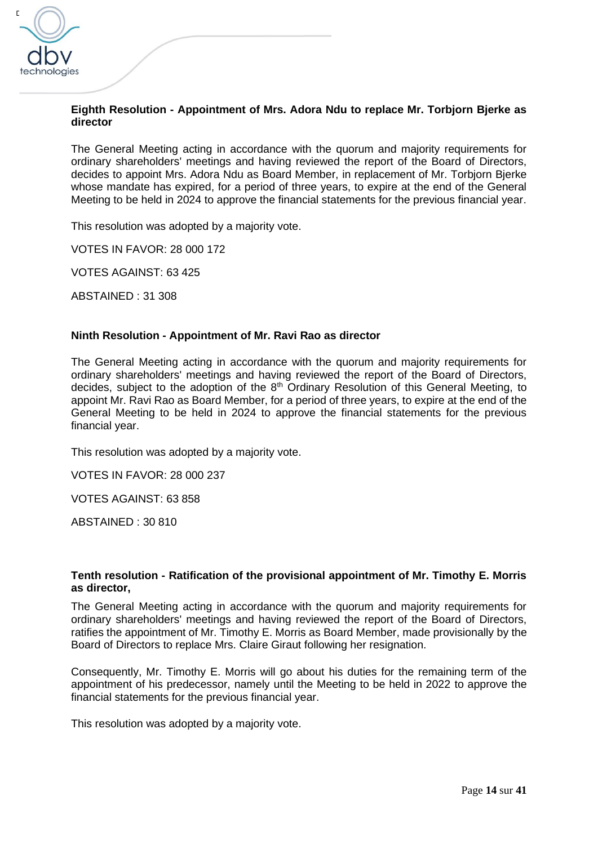

## **Eighth Resolution - Appointment of Mrs. Adora Ndu to replace Mr. Torbjorn Bjerke as director**

The General Meeting acting in accordance with the quorum and majority requirements for ordinary shareholders' meetings and having reviewed the report of the Board of Directors, decides to appoint Mrs. Adora Ndu as Board Member, in replacement of Mr. Torbjorn Bjerke whose mandate has expired, for a period of three years, to expire at the end of the General Meeting to be held in 2024 to approve the financial statements for the previous financial year.

This resolution was adopted by a majority vote.

VOTES IN FAVOR: 28 000 172

VOTES AGAINST: 63 425

ABSTAINED : 31 308

#### **Ninth Resolution - Appointment of Mr. Ravi Rao as director**

The General Meeting acting in accordance with the quorum and majority requirements for ordinary shareholders' meetings and having reviewed the report of the Board of Directors, decides, subject to the adoption of the  $8<sup>th</sup>$  Ordinary Resolution of this General Meeting, to appoint Mr. Ravi Rao as Board Member, for a period of three years, to expire at the end of the General Meeting to be held in 2024 to approve the financial statements for the previous financial year.

This resolution was adopted by a majority vote.

VOTES IN FAVOR: 28 000 237

VOTES AGAINST: 63 858

ABSTAINED : 30 810

#### **Tenth resolution - Ratification of the provisional appointment of Mr. Timothy E. Morris as director,**

The General Meeting acting in accordance with the quorum and majority requirements for ordinary shareholders' meetings and having reviewed the report of the Board of Directors, ratifies the appointment of Mr. Timothy E. Morris as Board Member, made provisionally by the Board of Directors to replace Mrs. Claire Giraut following her resignation.

Consequently, Mr. Timothy E. Morris will go about his duties for the remaining term of the appointment of his predecessor, namely until the Meeting to be held in 2022 to approve the financial statements for the previous financial year.

This resolution was adopted by a majority vote.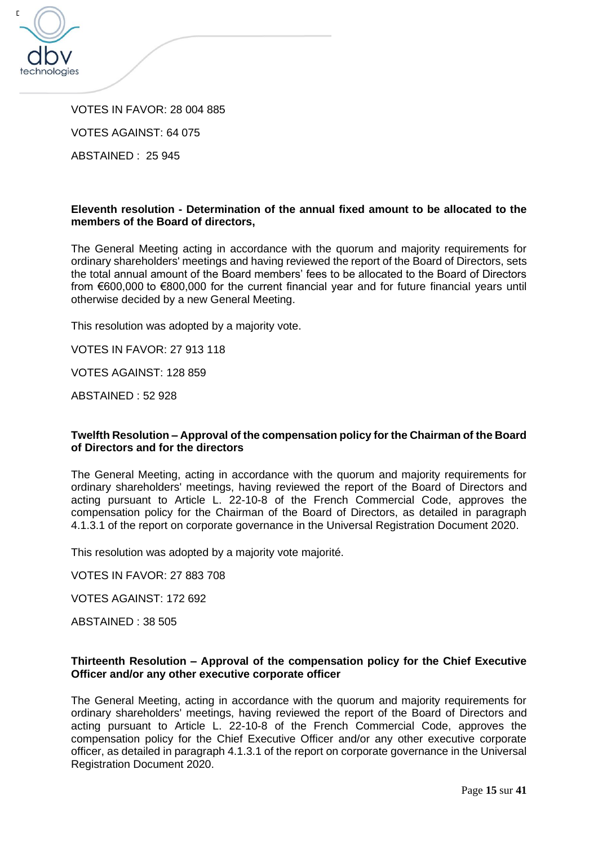

VOTES IN FAVOR: 28 004 885 VOTES AGAINST: 64 075

ABSTAINED : 25 945

## **Eleventh resolution - Determination of the annual fixed amount to be allocated to the members of the Board of directors,**

The General Meeting acting in accordance with the quorum and majority requirements for ordinary shareholders' meetings and having reviewed the report of the Board of Directors, sets the total annual amount of the Board members' fees to be allocated to the Board of Directors from €600,000 to €800,000 for the current financial year and for future financial years until otherwise decided by a new General Meeting.

This resolution was adopted by a majority vote.

VOTES IN FAVOR: 27 913 118

VOTES AGAINST: 128 859

ABSTAINED : 52 928

#### **Twelfth Resolution – Approval of the compensation policy for the Chairman of the Board of Directors and for the directors**

The General Meeting, acting in accordance with the quorum and majority requirements for ordinary shareholders' meetings, having reviewed the report of the Board of Directors and acting pursuant to Article L. 22-10-8 of the French Commercial Code, approves the compensation policy for the Chairman of the Board of Directors, as detailed in paragraph 4.1.3.1 of the report on corporate governance in the Universal Registration Document 2020.

This resolution was adopted by a majority vote majorité.

VOTES IN FAVOR: 27 883 708

VOTES AGAINST: 172 692

ABSTAINED : 38 505

#### **Thirteenth Resolution – Approval of the compensation policy for the Chief Executive Officer and/or any other executive corporate officer**

The General Meeting, acting in accordance with the quorum and majority requirements for ordinary shareholders' meetings, having reviewed the report of the Board of Directors and acting pursuant to Article L. 22-10-8 of the French Commercial Code, approves the compensation policy for the Chief Executive Officer and/or any other executive corporate officer, as detailed in paragraph 4.1.3.1 of the report on corporate governance in the Universal Registration Document 2020.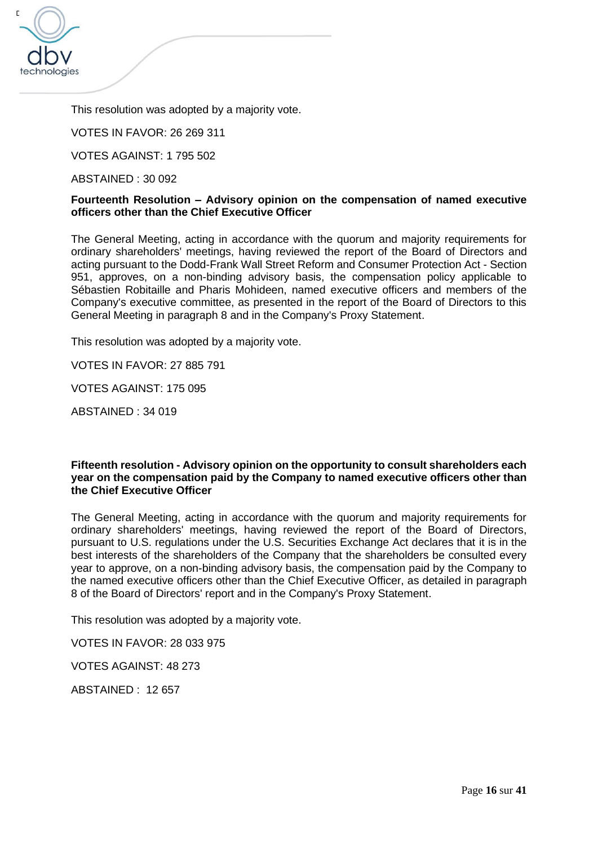

This resolution was adopted by a majority vote.

VOTES IN FAVOR: 26 269 311

VOTES AGAINST: 1 795 502

ABSTAINED : 30 092

#### **Fourteenth Resolution – Advisory opinion on the compensation of named executive officers other than the Chief Executive Officer**

The General Meeting, acting in accordance with the quorum and majority requirements for ordinary shareholders' meetings, having reviewed the report of the Board of Directors and acting pursuant to the Dodd-Frank Wall Street Reform and Consumer Protection Act - Section 951, approves, on a non-binding advisory basis, the compensation policy applicable to Sébastien Robitaille and Pharis Mohideen, named executive officers and members of the Company's executive committee, as presented in the report of the Board of Directors to this General Meeting in paragraph 8 and in the Company's Proxy Statement.

This resolution was adopted by a majority vote.

VOTES IN FAVOR: 27 885 791

VOTES AGAINST: 175 095

ABSTAINED : 34 019

#### **Fifteenth resolution - Advisory opinion on the opportunity to consult shareholders each year on the compensation paid by the Company to named executive officers other than the Chief Executive Officer**

The General Meeting, acting in accordance with the quorum and majority requirements for ordinary shareholders' meetings, having reviewed the report of the Board of Directors, pursuant to U.S. regulations under the U.S. Securities Exchange Act declares that it is in the best interests of the shareholders of the Company that the shareholders be consulted every year to approve, on a non-binding advisory basis, the compensation paid by the Company to the named executive officers other than the Chief Executive Officer, as detailed in paragraph 8 of the Board of Directors' report and in the Company's Proxy Statement.

This resolution was adopted by a majority vote.

VOTES IN FAVOR: 28 033 975

VOTES AGAINST: 48 273

ABSTAINED : 12 657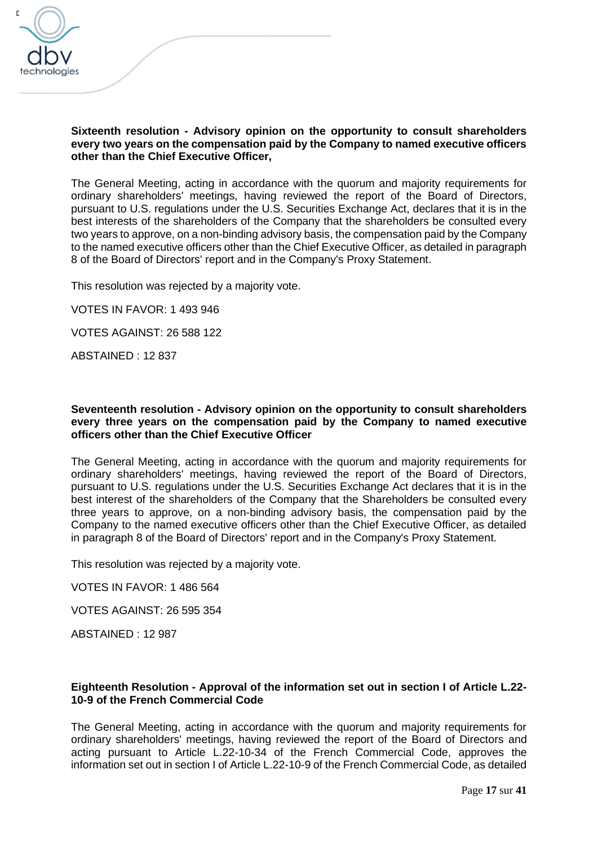

#### **Sixteenth resolution - Advisory opinion on the opportunity to consult shareholders every two years on the compensation paid by the Company to named executive officers other than the Chief Executive Officer,**

The General Meeting, acting in accordance with the quorum and majority requirements for ordinary shareholders' meetings, having reviewed the report of the Board of Directors, pursuant to U.S. regulations under the U.S. Securities Exchange Act, declares that it is in the best interests of the shareholders of the Company that the shareholders be consulted every two years to approve, on a non-binding advisory basis, the compensation paid by the Company to the named executive officers other than the Chief Executive Officer, as detailed in paragraph 8 of the Board of Directors' report and in the Company's Proxy Statement.

This resolution was rejected by a majority vote.

VOTES IN FAVOR: 1 493 946

VOTES AGAINST: 26 588 122

ABSTAINED : 12 837

#### **Seventeenth resolution - Advisory opinion on the opportunity to consult shareholders every three years on the compensation paid by the Company to named executive officers other than the Chief Executive Officer**

The General Meeting, acting in accordance with the quorum and majority requirements for ordinary shareholders' meetings, having reviewed the report of the Board of Directors, pursuant to U.S. regulations under the U.S. Securities Exchange Act declares that it is in the best interest of the shareholders of the Company that the Shareholders be consulted every three years to approve, on a non-binding advisory basis, the compensation paid by the Company to the named executive officers other than the Chief Executive Officer, as detailed in paragraph 8 of the Board of Directors' report and in the Company's Proxy Statement.

This resolution was rejected by a majority vote.

VOTES IN FAVOR: 1 486 564

VOTES AGAINST: 26 595 354

ABSTAINED : 12 987

#### **Eighteenth Resolution - Approval of the information set out in section I of Article L.22- 10-9 of the French Commercial Code**

The General Meeting, acting in accordance with the quorum and majority requirements for ordinary shareholders' meetings, having reviewed the report of the Board of Directors and acting pursuant to Article L.22-10-34 of the French Commercial Code, approves the information set out in section I of Article L.22-10-9 of the French Commercial Code, as detailed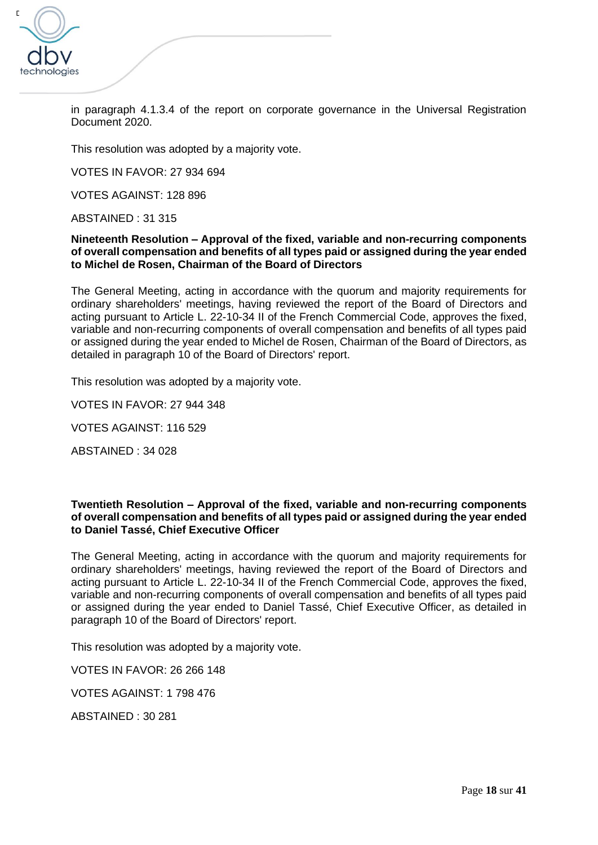

in paragraph 4.1.3.4 of the report on corporate governance in the Universal Registration Document 2020.

This resolution was adopted by a majority vote.

VOTES IN FAVOR: 27 934 694

VOTES AGAINST: 128 896

ABSTAINED : 31 315

**Nineteenth Resolution – Approval of the fixed, variable and non-recurring components of overall compensation and benefits of all types paid or assigned during the year ended to Michel de Rosen, Chairman of the Board of Directors**

The General Meeting, acting in accordance with the quorum and majority requirements for ordinary shareholders' meetings, having reviewed the report of the Board of Directors and acting pursuant to Article L. 22-10-34 II of the French Commercial Code, approves the fixed, variable and non-recurring components of overall compensation and benefits of all types paid or assigned during the year ended to Michel de Rosen, Chairman of the Board of Directors, as detailed in paragraph 10 of the Board of Directors' report.

This resolution was adopted by a majority vote.

VOTES IN FAVOR: 27 944 348

VOTES AGAINST: 116 529

ABSTAINED : 34 028

#### **Twentieth Resolution – Approval of the fixed, variable and non-recurring components of overall compensation and benefits of all types paid or assigned during the year ended to Daniel Tassé, Chief Executive Officer**

The General Meeting, acting in accordance with the quorum and majority requirements for ordinary shareholders' meetings, having reviewed the report of the Board of Directors and acting pursuant to Article L. 22-10-34 II of the French Commercial Code, approves the fixed, variable and non-recurring components of overall compensation and benefits of all types paid or assigned during the year ended to Daniel Tassé, Chief Executive Officer, as detailed in paragraph 10 of the Board of Directors' report.

This resolution was adopted by a majority vote.

VOTES IN FAVOR: 26 266 148

VOTES AGAINST: 1 798 476

ABSTAINED : 30 281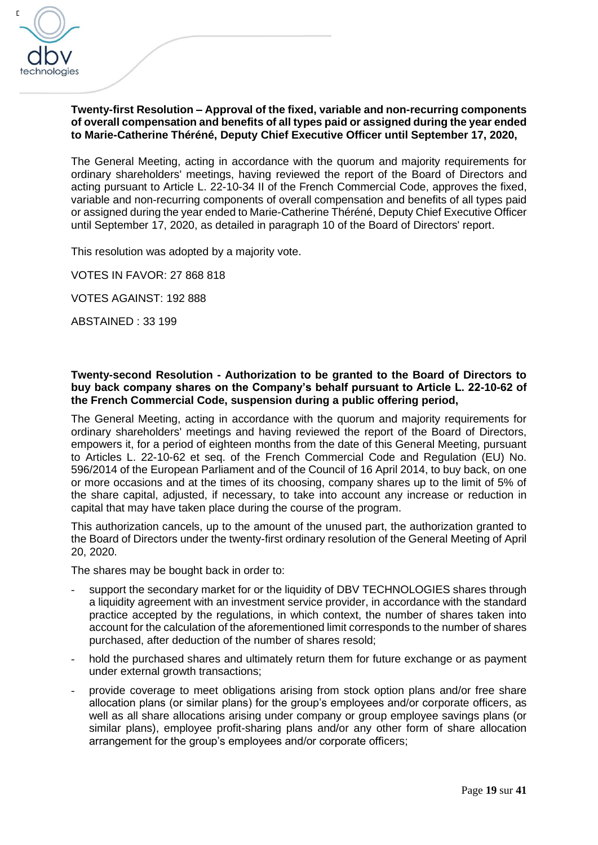

## **Twenty-first Resolution – Approval of the fixed, variable and non-recurring components of overall compensation and benefits of all types paid or assigned during the year ended to Marie-Catherine Théréné, Deputy Chief Executive Officer until September 17, 2020,**

The General Meeting, acting in accordance with the quorum and majority requirements for ordinary shareholders' meetings, having reviewed the report of the Board of Directors and acting pursuant to Article L. 22-10-34 II of the French Commercial Code, approves the fixed, variable and non-recurring components of overall compensation and benefits of all types paid or assigned during the year ended to Marie-Catherine Théréné, Deputy Chief Executive Officer until September 17, 2020, as detailed in paragraph 10 of the Board of Directors' report.

This resolution was adopted by a majority vote.

VOTES IN FAVOR: 27 868 818

VOTES AGAINST: 192 888

ABSTAINED : 33 199

#### **Twenty-second Resolution - Authorization to be granted to the Board of Directors to buy back company shares on the Company's behalf pursuant to Article L. 22-10-62 of the French Commercial Code, suspension during a public offering period,**

The General Meeting, acting in accordance with the quorum and majority requirements for ordinary shareholders' meetings and having reviewed the report of the Board of Directors, empowers it, for a period of eighteen months from the date of this General Meeting, pursuant to Articles L. 22-10-62 et seq. of the French Commercial Code and Regulation (EU) No. 596/2014 of the European Parliament and of the Council of 16 April 2014, to buy back, on one or more occasions and at the times of its choosing, company shares up to the limit of 5% of the share capital, adjusted, if necessary, to take into account any increase or reduction in capital that may have taken place during the course of the program.

This authorization cancels, up to the amount of the unused part, the authorization granted to the Board of Directors under the twenty-first ordinary resolution of the General Meeting of April 20, 2020.

The shares may be bought back in order to:

- support the secondary market for or the liquidity of DBV TECHNOLOGIES shares through a liquidity agreement with an investment service provider, in accordance with the standard practice accepted by the regulations, in which context, the number of shares taken into account for the calculation of the aforementioned limit corresponds to the number of shares purchased, after deduction of the number of shares resold;
- hold the purchased shares and ultimately return them for future exchange or as payment under external growth transactions;
- provide coverage to meet obligations arising from stock option plans and/or free share allocation plans (or similar plans) for the group's employees and/or corporate officers, as well as all share allocations arising under company or group employee savings plans (or similar plans), employee profit-sharing plans and/or any other form of share allocation arrangement for the group's employees and/or corporate officers;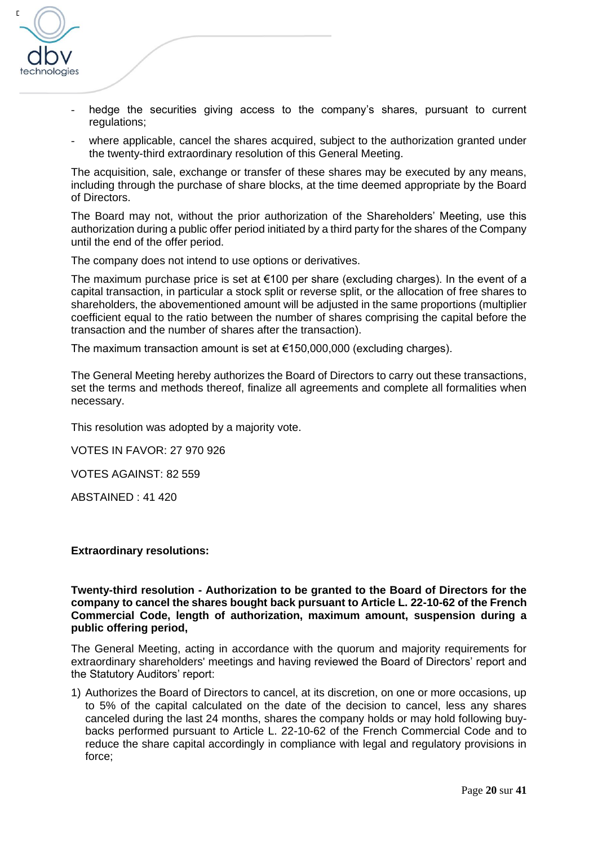

- hedge the securities giving access to the company's shares, pursuant to current regulations;
- where applicable, cancel the shares acquired, subject to the authorization granted under the twenty-third extraordinary resolution of this General Meeting.

The acquisition, sale, exchange or transfer of these shares may be executed by any means, including through the purchase of share blocks, at the time deemed appropriate by the Board of Directors.

The Board may not, without the prior authorization of the Shareholders' Meeting, use this authorization during a public offer period initiated by a third party for the shares of the Company until the end of the offer period.

The company does not intend to use options or derivatives.

The maximum purchase price is set at  $€100$  per share (excluding charges). In the event of a capital transaction, in particular a stock split or reverse split, or the allocation of free shares to shareholders, the abovementioned amount will be adjusted in the same proportions (multiplier coefficient equal to the ratio between the number of shares comprising the capital before the transaction and the number of shares after the transaction).

The maximum transaction amount is set at  $€150,000,000$  (excluding charges).

The General Meeting hereby authorizes the Board of Directors to carry out these transactions, set the terms and methods thereof, finalize all agreements and complete all formalities when necessary.

This resolution was adopted by a majority vote.

VOTES IN FAVOR: 27 970 926

VOTES AGAINST: 82 559

ABSTAINED : 41 420

#### **Extraordinary resolutions:**

#### **Twenty-third resolution - Authorization to be granted to the Board of Directors for the company to cancel the shares bought back pursuant to Article L. 22-10-62 of the French Commercial Code, length of authorization, maximum amount, suspension during a public offering period,**

The General Meeting, acting in accordance with the quorum and majority requirements for extraordinary shareholders' meetings and having reviewed the Board of Directors' report and the Statutory Auditors' report:

1) Authorizes the Board of Directors to cancel, at its discretion, on one or more occasions, up to 5% of the capital calculated on the date of the decision to cancel, less any shares canceled during the last 24 months, shares the company holds or may hold following buybacks performed pursuant to Article L. 22-10-62 of the French Commercial Code and to reduce the share capital accordingly in compliance with legal and regulatory provisions in force;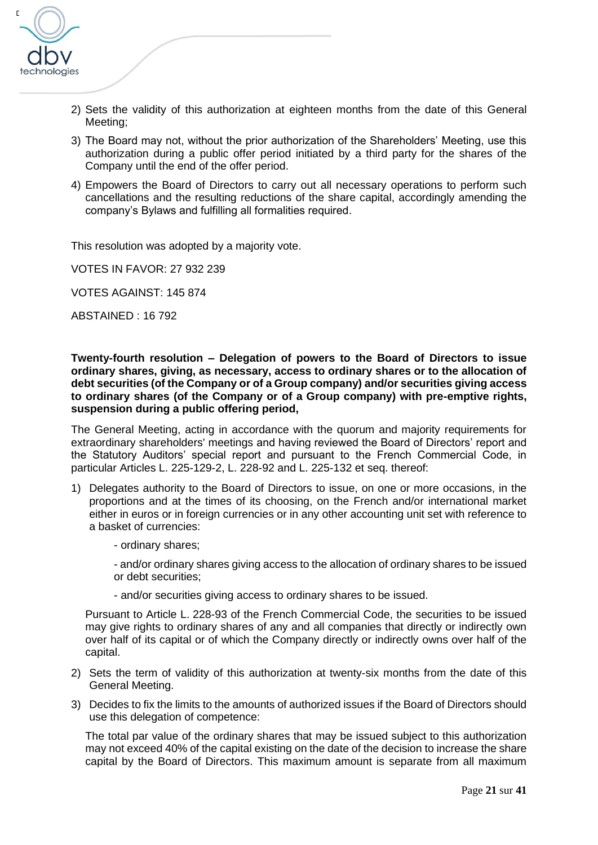

- 2) Sets the validity of this authorization at eighteen months from the date of this General Meeting;
- 3) The Board may not, without the prior authorization of the Shareholders' Meeting, use this authorization during a public offer period initiated by a third party for the shares of the Company until the end of the offer period.
- 4) Empowers the Board of Directors to carry out all necessary operations to perform such cancellations and the resulting reductions of the share capital, accordingly amending the company's Bylaws and fulfilling all formalities required.

This resolution was adopted by a majority vote.

VOTES IN FAVOR: 27 932 239

VOTES AGAINST: 145 874

ABSTAINED : 16 792

**Twenty-fourth resolution – Delegation of powers to the Board of Directors to issue ordinary shares, giving, as necessary, access to ordinary shares or to the allocation of debt securities (of the Company or of a Group company) and/or securities giving access to ordinary shares (of the Company or of a Group company) with pre-emptive rights, suspension during a public offering period,** 

The General Meeting, acting in accordance with the quorum and majority requirements for extraordinary shareholders' meetings and having reviewed the Board of Directors' report and the Statutory Auditors' special report and pursuant to the French Commercial Code, in particular Articles L. 225-129-2, L. 228-92 and L. 225-132 et seq. thereof:

- 1) Delegates authority to the Board of Directors to issue, on one or more occasions, in the proportions and at the times of its choosing, on the French and/or international market either in euros or in foreign currencies or in any other accounting unit set with reference to a basket of currencies:
	- ordinary shares;

- and/or ordinary shares giving access to the allocation of ordinary shares to be issued or debt securities;

- and/or securities giving access to ordinary shares to be issued.

Pursuant to Article L. 228-93 of the French Commercial Code, the securities to be issued may give rights to ordinary shares of any and all companies that directly or indirectly own over half of its capital or of which the Company directly or indirectly owns over half of the capital.

- 2) Sets the term of validity of this authorization at twenty-six months from the date of this General Meeting.
- 3) Decides to fix the limits to the amounts of authorized issues if the Board of Directors should use this delegation of competence:

The total par value of the ordinary shares that may be issued subject to this authorization may not exceed 40% of the capital existing on the date of the decision to increase the share capital by the Board of Directors. This maximum amount is separate from all maximum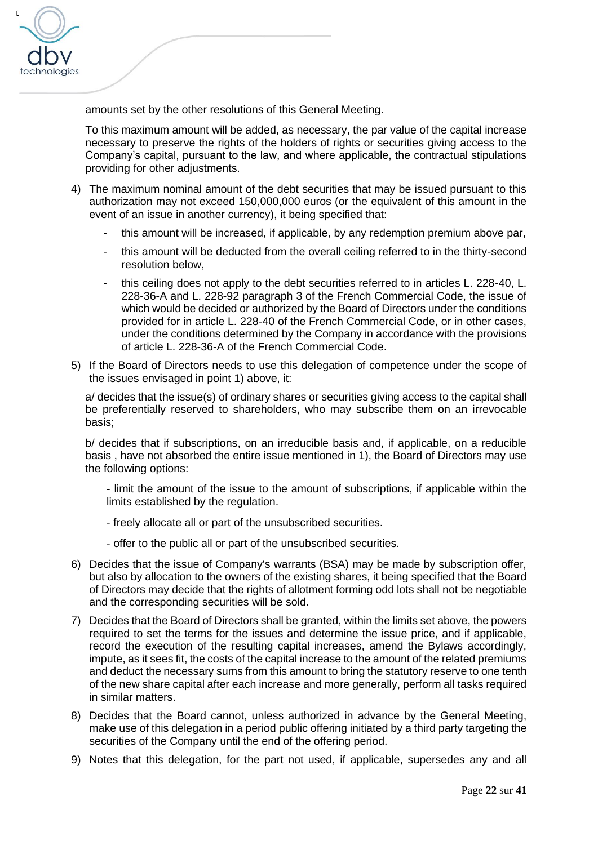

amounts set by the other resolutions of this General Meeting.

To this maximum amount will be added, as necessary, the par value of the capital increase necessary to preserve the rights of the holders of rights or securities giving access to the Company's capital, pursuant to the law, and where applicable, the contractual stipulations providing for other adjustments.

- 4) The maximum nominal amount of the debt securities that may be issued pursuant to this authorization may not exceed 150,000,000 euros (or the equivalent of this amount in the event of an issue in another currency), it being specified that:
	- this amount will be increased, if applicable, by any redemption premium above par,
	- this amount will be deducted from the overall ceiling referred to in the thirty-second resolution below,
	- this ceiling does not apply to the debt securities referred to in articles L. 228-40. L. 228-36-A and L. 228-92 paragraph 3 of the French Commercial Code, the issue of which would be decided or authorized by the Board of Directors under the conditions provided for in article L. 228-40 of the French Commercial Code, or in other cases, under the conditions determined by the Company in accordance with the provisions of article L. 228-36-A of the French Commercial Code.
- 5) If the Board of Directors needs to use this delegation of competence under the scope of the issues envisaged in point 1) above, it:

a/ decides that the issue(s) of ordinary shares or securities giving access to the capital shall be preferentially reserved to shareholders, who may subscribe them on an irrevocable basis;

b/ decides that if subscriptions, on an irreducible basis and, if applicable, on a reducible basis , have not absorbed the entire issue mentioned in 1), the Board of Directors may use the following options:

- limit the amount of the issue to the amount of subscriptions, if applicable within the limits established by the regulation.

- freely allocate all or part of the unsubscribed securities.
- offer to the public all or part of the unsubscribed securities.
- 6) Decides that the issue of Company's warrants (BSA) may be made by subscription offer, but also by allocation to the owners of the existing shares, it being specified that the Board of Directors may decide that the rights of allotment forming odd lots shall not be negotiable and the corresponding securities will be sold.
- 7) Decides that the Board of Directors shall be granted, within the limits set above, the powers required to set the terms for the issues and determine the issue price, and if applicable, record the execution of the resulting capital increases, amend the Bylaws accordingly, impute, as it sees fit, the costs of the capital increase to the amount of the related premiums and deduct the necessary sums from this amount to bring the statutory reserve to one tenth of the new share capital after each increase and more generally, perform all tasks required in similar matters.
- 8) Decides that the Board cannot, unless authorized in advance by the General Meeting, make use of this delegation in a period public offering initiated by a third party targeting the securities of the Company until the end of the offering period.
- 9) Notes that this delegation, for the part not used, if applicable, supersedes any and all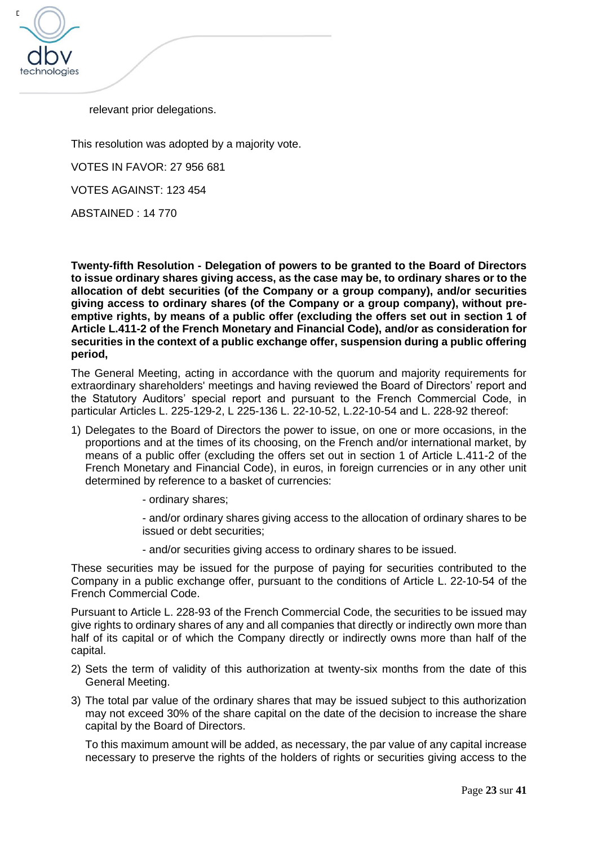

relevant prior delegations.

This resolution was adopted by a majority vote.

VOTES IN FAVOR: 27 956 681

VOTES AGAINST: 123 454

ABSTAINED : 14 770

**Twenty-fifth Resolution - Delegation of powers to be granted to the Board of Directors to issue ordinary shares giving access, as the case may be, to ordinary shares or to the allocation of debt securities (of the Company or a group company), and/or securities giving access to ordinary shares (of the Company or a group company), without preemptive rights, by means of a public offer (excluding the offers set out in section 1 of Article L.411-2 of the French Monetary and Financial Code), and/or as consideration for securities in the context of a public exchange offer, suspension during a public offering period,**

The General Meeting, acting in accordance with the quorum and majority requirements for extraordinary shareholders' meetings and having reviewed the Board of Directors' report and the Statutory Auditors' special report and pursuant to the French Commercial Code, in particular Articles L. 225-129-2, L 225-136 L. 22-10-52, L.22-10-54 and L. 228-92 thereof:

- 1) Delegates to the Board of Directors the power to issue, on one or more occasions, in the proportions and at the times of its choosing, on the French and/or international market, by means of a public offer (excluding the offers set out in section 1 of Article L.411-2 of the French Monetary and Financial Code), in euros, in foreign currencies or in any other unit determined by reference to a basket of currencies:
	- ordinary shares;
	- and/or ordinary shares giving access to the allocation of ordinary shares to be issued or debt securities;
	- and/or securities giving access to ordinary shares to be issued.

These securities may be issued for the purpose of paying for securities contributed to the Company in a public exchange offer, pursuant to the conditions of Article L. 22-10-54 of the French Commercial Code.

Pursuant to Article L. 228-93 of the French Commercial Code, the securities to be issued may give rights to ordinary shares of any and all companies that directly or indirectly own more than half of its capital or of which the Company directly or indirectly owns more than half of the capital.

- 2) Sets the term of validity of this authorization at twenty-six months from the date of this General Meeting.
- 3) The total par value of the ordinary shares that may be issued subject to this authorization may not exceed 30% of the share capital on the date of the decision to increase the share capital by the Board of Directors.

To this maximum amount will be added, as necessary, the par value of any capital increase necessary to preserve the rights of the holders of rights or securities giving access to the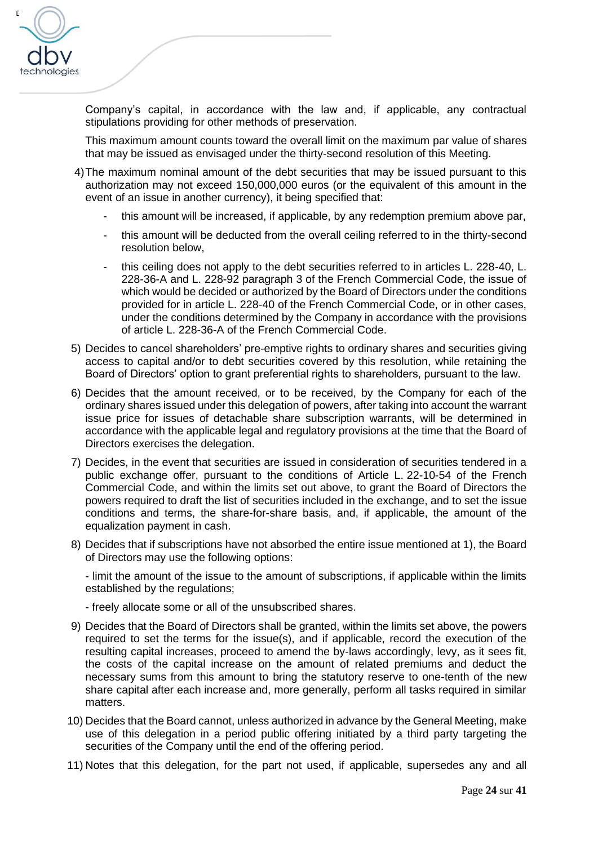

Company's capital, in accordance with the law and, if applicable, any contractual stipulations providing for other methods of preservation.

This maximum amount counts toward the overall limit on the maximum par value of shares that may be issued as envisaged under the thirty-second resolution of this Meeting.

- 4)The maximum nominal amount of the debt securities that may be issued pursuant to this authorization may not exceed 150,000,000 euros (or the equivalent of this amount in the event of an issue in another currency), it being specified that:
	- this amount will be increased, if applicable, by any redemption premium above par,
	- this amount will be deducted from the overall ceiling referred to in the thirty-second resolution below,
	- this ceiling does not apply to the debt securities referred to in articles L. 228-40, L. 228-36-A and L. 228-92 paragraph 3 of the French Commercial Code, the issue of which would be decided or authorized by the Board of Directors under the conditions provided for in article L. 228-40 of the French Commercial Code, or in other cases, under the conditions determined by the Company in accordance with the provisions of article L. 228-36-A of the French Commercial Code.
- 5) Decides to cancel shareholders' pre-emptive rights to ordinary shares and securities giving access to capital and/or to debt securities covered by this resolution, while retaining the Board of Directors' option to grant preferential rights to shareholders, pursuant to the law.
- 6) Decides that the amount received, or to be received, by the Company for each of the ordinary shares issued under this delegation of powers, after taking into account the warrant issue price for issues of detachable share subscription warrants, will be determined in accordance with the applicable legal and regulatory provisions at the time that the Board of Directors exercises the delegation.
- 7) Decides, in the event that securities are issued in consideration of securities tendered in a public exchange offer, pursuant to the conditions of Article L. 22-10-54 of the French Commercial Code, and within the limits set out above, to grant the Board of Directors the powers required to draft the list of securities included in the exchange, and to set the issue conditions and terms, the share-for-share basis, and, if applicable, the amount of the equalization payment in cash.
- 8) Decides that if subscriptions have not absorbed the entire issue mentioned at 1), the Board of Directors may use the following options:

- limit the amount of the issue to the amount of subscriptions, if applicable within the limits established by the regulations;

- freely allocate some or all of the unsubscribed shares.

- 9) Decides that the Board of Directors shall be granted, within the limits set above, the powers required to set the terms for the issue(s), and if applicable, record the execution of the resulting capital increases, proceed to amend the by-laws accordingly, levy, as it sees fit, the costs of the capital increase on the amount of related premiums and deduct the necessary sums from this amount to bring the statutory reserve to one-tenth of the new share capital after each increase and, more generally, perform all tasks required in similar matters.
- 10) Decides that the Board cannot, unless authorized in advance by the General Meeting, make use of this delegation in a period public offering initiated by a third party targeting the securities of the Company until the end of the offering period.
- 11) Notes that this delegation, for the part not used, if applicable, supersedes any and all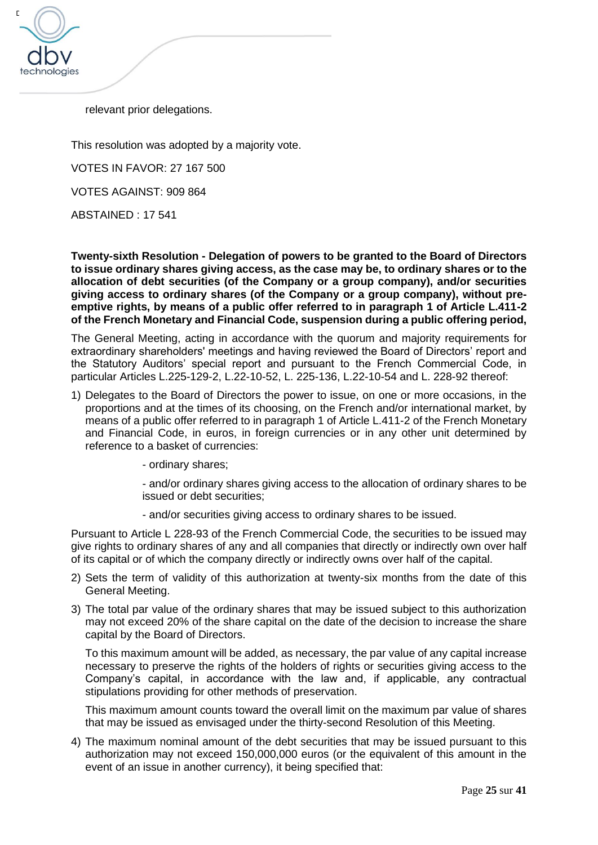

relevant prior delegations.

This resolution was adopted by a majority vote.

VOTES IN FAVOR: 27 167 500

VOTES AGAINST: 909 864

ABSTAINED : 17 541

**Twenty-sixth Resolution - Delegation of powers to be granted to the Board of Directors to issue ordinary shares giving access, as the case may be, to ordinary shares or to the allocation of debt securities (of the Company or a group company), and/or securities giving access to ordinary shares (of the Company or a group company), without preemptive rights, by means of a public offer referred to in paragraph 1 of Article L.411-2 of the French Monetary and Financial Code, suspension during a public offering period,**

The General Meeting, acting in accordance with the quorum and majority requirements for extraordinary shareholders' meetings and having reviewed the Board of Directors' report and the Statutory Auditors' special report and pursuant to the French Commercial Code, in particular Articles L.225-129-2, L.22-10-52, L. 225-136, L.22-10-54 and L. 228-92 thereof:

- 1) Delegates to the Board of Directors the power to issue, on one or more occasions, in the proportions and at the times of its choosing, on the French and/or international market, by means of a public offer referred to in paragraph 1 of Article L.411-2 of the French Monetary and Financial Code, in euros, in foreign currencies or in any other unit determined by reference to a basket of currencies:
	- ordinary shares;

- and/or ordinary shares giving access to the allocation of ordinary shares to be issued or debt securities;

- and/or securities giving access to ordinary shares to be issued.

Pursuant to Article L 228-93 of the French Commercial Code, the securities to be issued may give rights to ordinary shares of any and all companies that directly or indirectly own over half of its capital or of which the company directly or indirectly owns over half of the capital.

- 2) Sets the term of validity of this authorization at twenty-six months from the date of this General Meeting.
- 3) The total par value of the ordinary shares that may be issued subject to this authorization may not exceed 20% of the share capital on the date of the decision to increase the share capital by the Board of Directors.

To this maximum amount will be added, as necessary, the par value of any capital increase necessary to preserve the rights of the holders of rights or securities giving access to the Company's capital, in accordance with the law and, if applicable, any contractual stipulations providing for other methods of preservation.

This maximum amount counts toward the overall limit on the maximum par value of shares that may be issued as envisaged under the thirty-second Resolution of this Meeting.

4) The maximum nominal amount of the debt securities that may be issued pursuant to this authorization may not exceed 150,000,000 euros (or the equivalent of this amount in the event of an issue in another currency), it being specified that: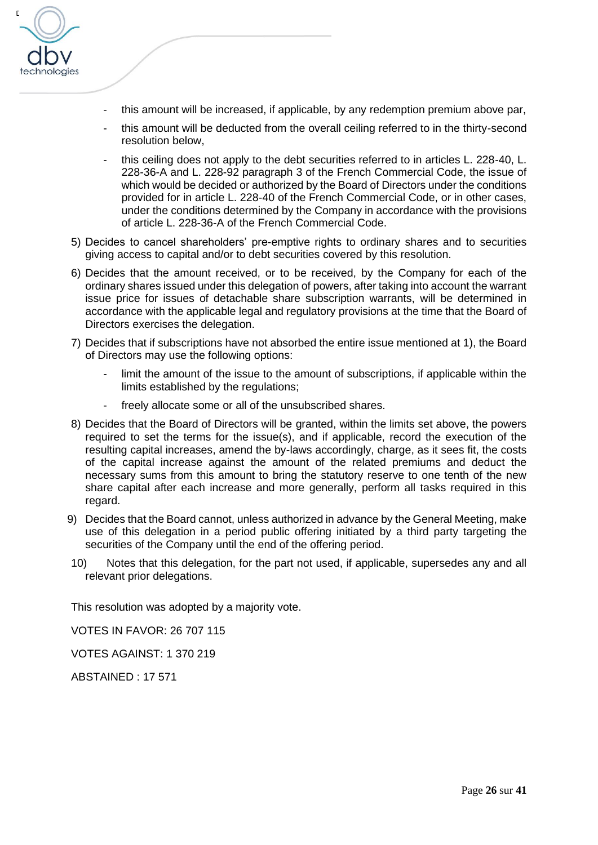

- this amount will be increased, if applicable, by any redemption premium above par,
- this amount will be deducted from the overall ceiling referred to in the thirty-second resolution below,
- this ceiling does not apply to the debt securities referred to in articles L. 228-40, L. 228-36-A and L. 228-92 paragraph 3 of the French Commercial Code, the issue of which would be decided or authorized by the Board of Directors under the conditions provided for in article L. 228-40 of the French Commercial Code, or in other cases, under the conditions determined by the Company in accordance with the provisions of article L. 228-36-A of the French Commercial Code.
- 5) Decides to cancel shareholders' pre-emptive rights to ordinary shares and to securities giving access to capital and/or to debt securities covered by this resolution.
- 6) Decides that the amount received, or to be received, by the Company for each of the ordinary shares issued under this delegation of powers, after taking into account the warrant issue price for issues of detachable share subscription warrants, will be determined in accordance with the applicable legal and regulatory provisions at the time that the Board of Directors exercises the delegation.
- 7) Decides that if subscriptions have not absorbed the entire issue mentioned at 1), the Board of Directors may use the following options:
	- limit the amount of the issue to the amount of subscriptions, if applicable within the limits established by the regulations;
	- freely allocate some or all of the unsubscribed shares.
- 8) Decides that the Board of Directors will be granted, within the limits set above, the powers required to set the terms for the issue(s), and if applicable, record the execution of the resulting capital increases, amend the by-laws accordingly, charge, as it sees fit, the costs of the capital increase against the amount of the related premiums and deduct the necessary sums from this amount to bring the statutory reserve to one tenth of the new share capital after each increase and more generally, perform all tasks required in this regard.
- 9) Decides that the Board cannot, unless authorized in advance by the General Meeting, make use of this delegation in a period public offering initiated by a third party targeting the securities of the Company until the end of the offering period.
- 10) Notes that this delegation, for the part not used, if applicable, supersedes any and all relevant prior delegations.

This resolution was adopted by a majority vote.

VOTES IN FAVOR: 26 707 115

VOTES AGAINST: 1 370 219

ABSTAINED : 17 571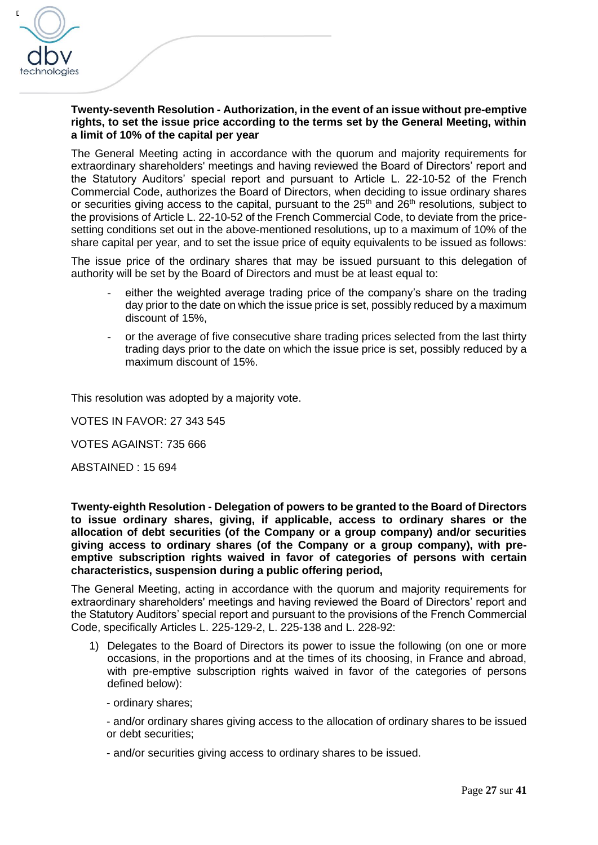

## **Twenty-seventh Resolution - Authorization, in the event of an issue without pre-emptive rights, to set the issue price according to the terms set by the General Meeting, within a limit of 10% of the capital per year**

The General Meeting acting in accordance with the quorum and majority requirements for extraordinary shareholders' meetings and having reviewed the Board of Directors' report and the Statutory Auditors' special report and pursuant to Article L. 22-10-52 of the French Commercial Code, authorizes the Board of Directors, when deciding to issue ordinary shares or securities giving access to the capital, pursuant to the 25<sup>th</sup> and 26<sup>th</sup> resolutions, subject to the provisions of Article L. 22-10-52 of the French Commercial Code, to deviate from the pricesetting conditions set out in the above-mentioned resolutions, up to a maximum of 10% of the share capital per year, and to set the issue price of equity equivalents to be issued as follows:

The issue price of the ordinary shares that may be issued pursuant to this delegation of authority will be set by the Board of Directors and must be at least equal to:

- either the weighted average trading price of the company's share on the trading day prior to the date on which the issue price is set, possibly reduced by a maximum discount of 15%,
- or the average of five consecutive share trading prices selected from the last thirty trading days prior to the date on which the issue price is set, possibly reduced by a maximum discount of 15%.

This resolution was adopted by a majority vote.

VOTES IN FAVOR: 27 343 545

VOTES AGAINST: 735 666

ABSTAINED : 15 694

**Twenty-eighth Resolution - Delegation of powers to be granted to the Board of Directors to issue ordinary shares, giving, if applicable, access to ordinary shares or the allocation of debt securities (of the Company or a group company) and/or securities giving access to ordinary shares (of the Company or a group company), with preemptive subscription rights waived in favor of categories of persons with certain characteristics, suspension during a public offering period,**

The General Meeting, acting in accordance with the quorum and majority requirements for extraordinary shareholders' meetings and having reviewed the Board of Directors' report and the Statutory Auditors' special report and pursuant to the provisions of the French Commercial Code, specifically Articles L. 225-129-2, L. 225-138 and L. 228-92:

1) Delegates to the Board of Directors its power to issue the following (on one or more occasions, in the proportions and at the times of its choosing, in France and abroad, with pre-emptive subscription rights waived in favor of the categories of persons defined below):

- ordinary shares;

- and/or ordinary shares giving access to the allocation of ordinary shares to be issued or debt securities;

- and/or securities giving access to ordinary shares to be issued.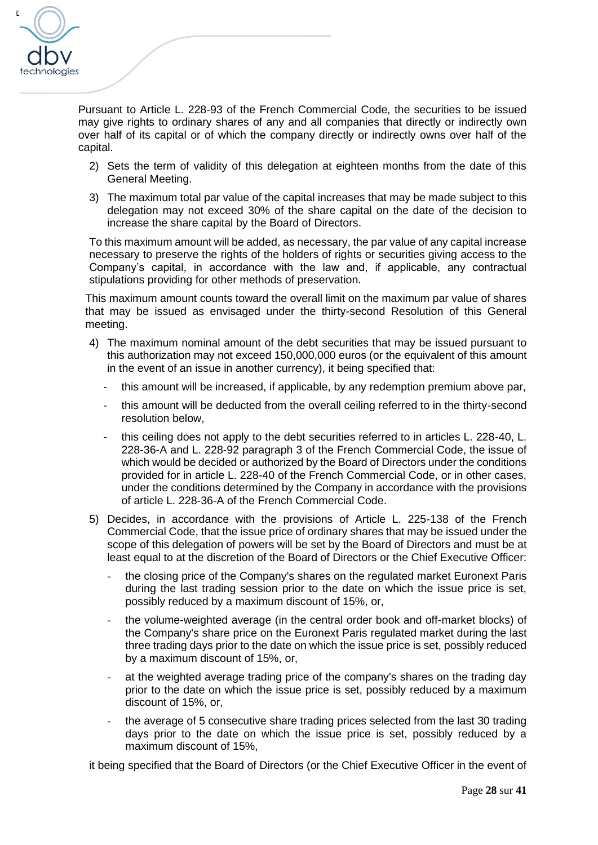

Pursuant to Article L. 228-93 of the French Commercial Code, the securities to be issued may give rights to ordinary shares of any and all companies that directly or indirectly own over half of its capital or of which the company directly or indirectly owns over half of the capital.

- 2) Sets the term of validity of this delegation at eighteen months from the date of this General Meeting.
- 3) The maximum total par value of the capital increases that may be made subject to this delegation may not exceed 30% of the share capital on the date of the decision to increase the share capital by the Board of Directors.

To this maximum amount will be added, as necessary, the par value of any capital increase necessary to preserve the rights of the holders of rights or securities giving access to the Company's capital, in accordance with the law and, if applicable, any contractual stipulations providing for other methods of preservation.

This maximum amount counts toward the overall limit on the maximum par value of shares that may be issued as envisaged under the thirty-second Resolution of this General meeting.

- 4) The maximum nominal amount of the debt securities that may be issued pursuant to this authorization may not exceed 150,000,000 euros (or the equivalent of this amount in the event of an issue in another currency), it being specified that:
	- this amount will be increased, if applicable, by any redemption premium above par,
	- this amount will be deducted from the overall ceiling referred to in the thirty-second resolution below,
	- this ceiling does not apply to the debt securities referred to in articles L. 228-40, L. 228-36-A and L. 228-92 paragraph 3 of the French Commercial Code, the issue of which would be decided or authorized by the Board of Directors under the conditions provided for in article L. 228-40 of the French Commercial Code, or in other cases, under the conditions determined by the Company in accordance with the provisions of article L. 228-36-A of the French Commercial Code.
- 5) Decides, in accordance with the provisions of Article L. 225-138 of the French Commercial Code, that the issue price of ordinary shares that may be issued under the scope of this delegation of powers will be set by the Board of Directors and must be at least equal to at the discretion of the Board of Directors or the Chief Executive Officer:
	- the closing price of the Company's shares on the regulated market Euronext Paris during the last trading session prior to the date on which the issue price is set, possibly reduced by a maximum discount of 15%, or,
	- the volume-weighted average (in the central order book and off-market blocks) of the Company's share price on the Euronext Paris regulated market during the last three trading days prior to the date on which the issue price is set, possibly reduced by a maximum discount of 15%, or,
	- at the weighted average trading price of the company's shares on the trading day prior to the date on which the issue price is set, possibly reduced by a maximum discount of 15%, or,
	- the average of 5 consecutive share trading prices selected from the last 30 trading days prior to the date on which the issue price is set, possibly reduced by a maximum discount of 15%,

it being specified that the Board of Directors (or the Chief Executive Officer in the event of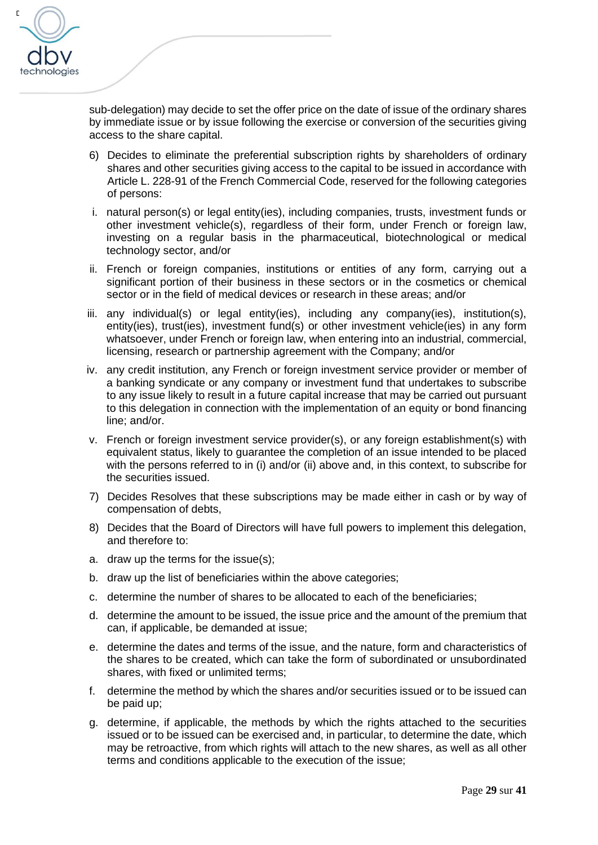

sub-delegation) may decide to set the offer price on the date of issue of the ordinary shares by immediate issue or by issue following the exercise or conversion of the securities giving access to the share capital.

- 6) Decides to eliminate the preferential subscription rights by shareholders of ordinary shares and other securities giving access to the capital to be issued in accordance with Article L. 228-91 of the French Commercial Code, reserved for the following categories of persons:
- i. natural person(s) or legal entity(ies), including companies, trusts, investment funds or other investment vehicle(s), regardless of their form, under French or foreign law, investing on a regular basis in the pharmaceutical, biotechnological or medical technology sector, and/or
- ii. French or foreign companies, institutions or entities of any form, carrying out a significant portion of their business in these sectors or in the cosmetics or chemical sector or in the field of medical devices or research in these areas; and/or
- iii. any individual(s) or legal entity(ies), including any company(ies), institution(s), entity(ies), trust(ies), investment fund(s) or other investment vehicle(ies) in any form whatsoever, under French or foreign law, when entering into an industrial, commercial, licensing, research or partnership agreement with the Company; and/or
- iv. any credit institution, any French or foreign investment service provider or member of a banking syndicate or any company or investment fund that undertakes to subscribe to any issue likely to result in a future capital increase that may be carried out pursuant to this delegation in connection with the implementation of an equity or bond financing line; and/or.
- v. French or foreign investment service provider(s), or any foreign establishment(s) with equivalent status, likely to guarantee the completion of an issue intended to be placed with the persons referred to in (i) and/or (ii) above and, in this context, to subscribe for the securities issued.
- 7) Decides Resolves that these subscriptions may be made either in cash or by way of compensation of debts,
- 8) Decides that the Board of Directors will have full powers to implement this delegation, and therefore to:
- a. draw up the terms for the issue(s);
- b. draw up the list of beneficiaries within the above categories;
- c. determine the number of shares to be allocated to each of the beneficiaries;
- d. determine the amount to be issued, the issue price and the amount of the premium that can, if applicable, be demanded at issue;
- e. determine the dates and terms of the issue, and the nature, form and characteristics of the shares to be created, which can take the form of subordinated or unsubordinated shares, with fixed or unlimited terms;
- f. determine the method by which the shares and/or securities issued or to be issued can be paid up;
- g. determine, if applicable, the methods by which the rights attached to the securities issued or to be issued can be exercised and, in particular, to determine the date, which may be retroactive, from which rights will attach to the new shares, as well as all other terms and conditions applicable to the execution of the issue;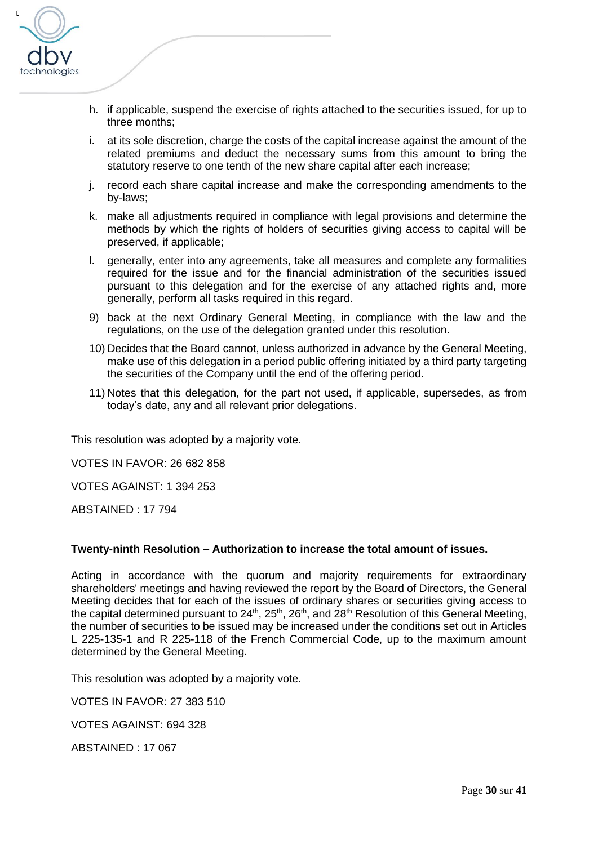

- h. if applicable, suspend the exercise of rights attached to the securities issued, for up to three months;
- i. at its sole discretion, charge the costs of the capital increase against the amount of the related premiums and deduct the necessary sums from this amount to bring the statutory reserve to one tenth of the new share capital after each increase;
- j. record each share capital increase and make the corresponding amendments to the by-laws;
- k. make all adjustments required in compliance with legal provisions and determine the methods by which the rights of holders of securities giving access to capital will be preserved, if applicable;
- l. generally, enter into any agreements, take all measures and complete any formalities required for the issue and for the financial administration of the securities issued pursuant to this delegation and for the exercise of any attached rights and, more generally, perform all tasks required in this regard.
- 9) back at the next Ordinary General Meeting, in compliance with the law and the regulations, on the use of the delegation granted under this resolution.
- 10) Decides that the Board cannot, unless authorized in advance by the General Meeting, make use of this delegation in a period public offering initiated by a third party targeting the securities of the Company until the end of the offering period.
- 11) Notes that this delegation, for the part not used, if applicable, supersedes, as from today's date, any and all relevant prior delegations.

This resolution was adopted by a majority vote.

VOTES IN FAVOR: 26 682 858

VOTES AGAINST: 1 394 253

ABSTAINED : 17 794

#### **Twenty-ninth Resolution – Authorization to increase the total amount of issues.**

Acting in accordance with the quorum and majority requirements for extraordinary shareholders' meetings and having reviewed the report by the Board of Directors, the General Meeting decides that for each of the issues of ordinary shares or securities giving access to the capital determined pursuant to  $24^{\text{th}}$ ,  $25^{\text{th}}$ ,  $26^{\text{th}}$ , and  $28^{\text{th}}$  Resolution of this General Meeting, the number of securities to be issued may be increased under the conditions set out in Articles L 225-135-1 and R 225-118 of the French Commercial Code, up to the maximum amount determined by the General Meeting.

This resolution was adopted by a majority vote.

VOTES IN FAVOR: 27 383 510

VOTES AGAINST: 694 328

ABSTAINED : 17 067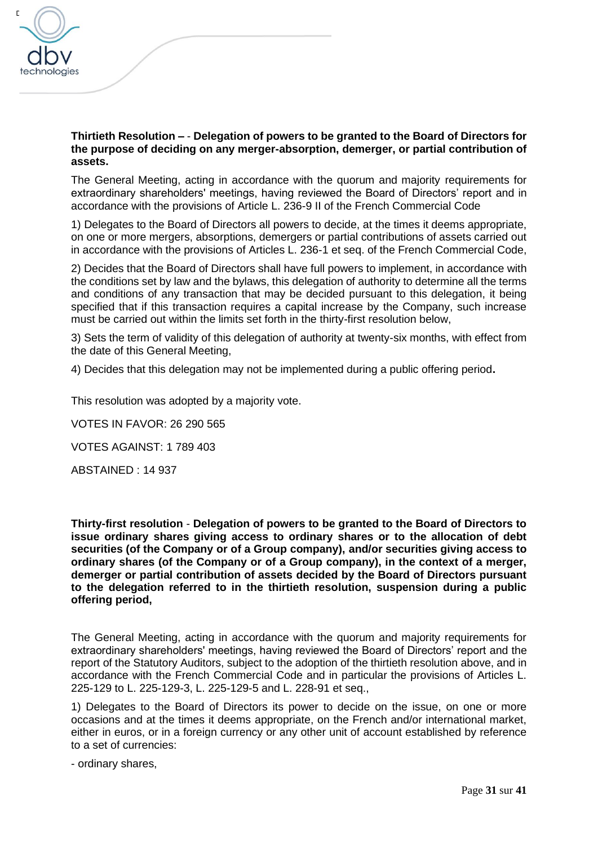

#### **Thirtieth Resolution –** - **Delegation of powers to be granted to the Board of Directors for the purpose of deciding on any merger-absorption, demerger, or partial contribution of assets.**

The General Meeting, acting in accordance with the quorum and majority requirements for extraordinary shareholders' meetings, having reviewed the Board of Directors' report and in accordance with the provisions of Article L. 236-9 II of the French Commercial Code

1) Delegates to the Board of Directors all powers to decide, at the times it deems appropriate, on one or more mergers, absorptions, demergers or partial contributions of assets carried out in accordance with the provisions of Articles L. 236-1 et seq. of the French Commercial Code,

2) Decides that the Board of Directors shall have full powers to implement, in accordance with the conditions set by law and the bylaws, this delegation of authority to determine all the terms and conditions of any transaction that may be decided pursuant to this delegation, it being specified that if this transaction requires a capital increase by the Company, such increase must be carried out within the limits set forth in the thirty-first resolution below,

3) Sets the term of validity of this delegation of authority at twenty-six months, with effect from the date of this General Meeting,

4) Decides that this delegation may not be implemented during a public offering period**.**

This resolution was adopted by a majority vote.

VOTES IN FAVOR: 26 290 565

VOTES AGAINST: 1 789 403

ABSTAINED : 14 937

**Thirty-first resolution** - **Delegation of powers to be granted to the Board of Directors to issue ordinary shares giving access to ordinary shares or to the allocation of debt securities (of the Company or of a Group company), and/or securities giving access to ordinary shares (of the Company or of a Group company), in the context of a merger, demerger or partial contribution of assets decided by the Board of Directors pursuant to the delegation referred to in the thirtieth resolution, suspension during a public offering period,**

The General Meeting, acting in accordance with the quorum and majority requirements for extraordinary shareholders' meetings, having reviewed the Board of Directors' report and the report of the Statutory Auditors, subject to the adoption of the thirtieth resolution above, and in accordance with the French Commercial Code and in particular the provisions of Articles L. 225-129 to L. 225-129-3, L. 225-129-5 and L. 228-91 et seq.,

1) Delegates to the Board of Directors its power to decide on the issue, on one or more occasions and at the times it deems appropriate, on the French and/or international market, either in euros, or in a foreign currency or any other unit of account established by reference to a set of currencies:

- ordinary shares,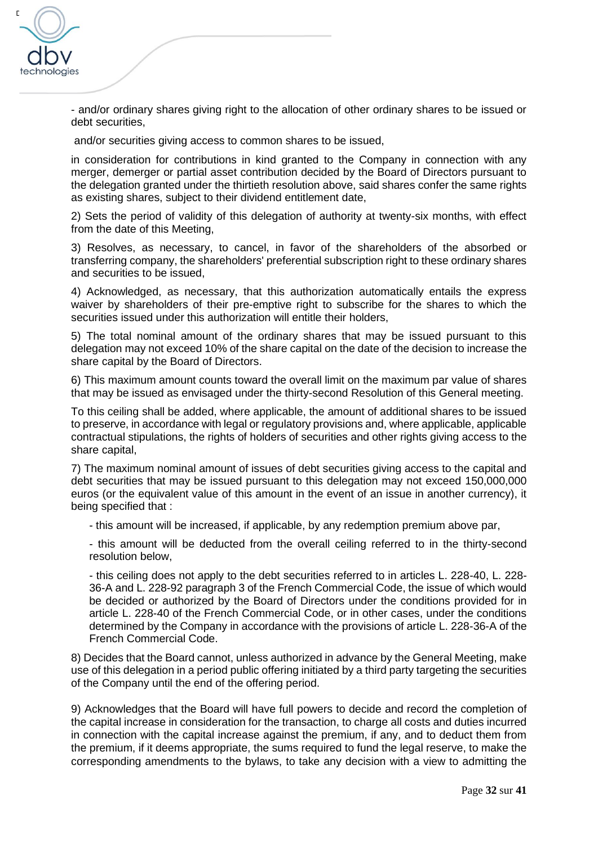

- and/or ordinary shares giving right to the allocation of other ordinary shares to be issued or debt securities.

and/or securities giving access to common shares to be issued,

in consideration for contributions in kind granted to the Company in connection with any merger, demerger or partial asset contribution decided by the Board of Directors pursuant to the delegation granted under the thirtieth resolution above, said shares confer the same rights as existing shares, subject to their dividend entitlement date,

2) Sets the period of validity of this delegation of authority at twenty-six months, with effect from the date of this Meeting,

3) Resolves, as necessary, to cancel, in favor of the shareholders of the absorbed or transferring company, the shareholders' preferential subscription right to these ordinary shares and securities to be issued,

4) Acknowledged, as necessary, that this authorization automatically entails the express waiver by shareholders of their pre-emptive right to subscribe for the shares to which the securities issued under this authorization will entitle their holders.

5) The total nominal amount of the ordinary shares that may be issued pursuant to this delegation may not exceed 10% of the share capital on the date of the decision to increase the share capital by the Board of Directors.

6) This maximum amount counts toward the overall limit on the maximum par value of shares that may be issued as envisaged under the thirty-second Resolution of this General meeting.

To this ceiling shall be added, where applicable, the amount of additional shares to be issued to preserve, in accordance with legal or regulatory provisions and, where applicable, applicable contractual stipulations, the rights of holders of securities and other rights giving access to the share capital,

7) The maximum nominal amount of issues of debt securities giving access to the capital and debt securities that may be issued pursuant to this delegation may not exceed 150,000,000 euros (or the equivalent value of this amount in the event of an issue in another currency), it being specified that :

- this amount will be increased, if applicable, by any redemption premium above par,

- this amount will be deducted from the overall ceiling referred to in the thirty-second resolution below,

- this ceiling does not apply to the debt securities referred to in articles L. 228-40, L. 228- 36-A and L. 228-92 paragraph 3 of the French Commercial Code, the issue of which would be decided or authorized by the Board of Directors under the conditions provided for in article L. 228-40 of the French Commercial Code, or in other cases, under the conditions determined by the Company in accordance with the provisions of article L. 228-36-A of the French Commercial Code.

8) Decides that the Board cannot, unless authorized in advance by the General Meeting, make use of this delegation in a period public offering initiated by a third party targeting the securities of the Company until the end of the offering period.

9) Acknowledges that the Board will have full powers to decide and record the completion of the capital increase in consideration for the transaction, to charge all costs and duties incurred in connection with the capital increase against the premium, if any, and to deduct them from the premium, if it deems appropriate, the sums required to fund the legal reserve, to make the corresponding amendments to the bylaws, to take any decision with a view to admitting the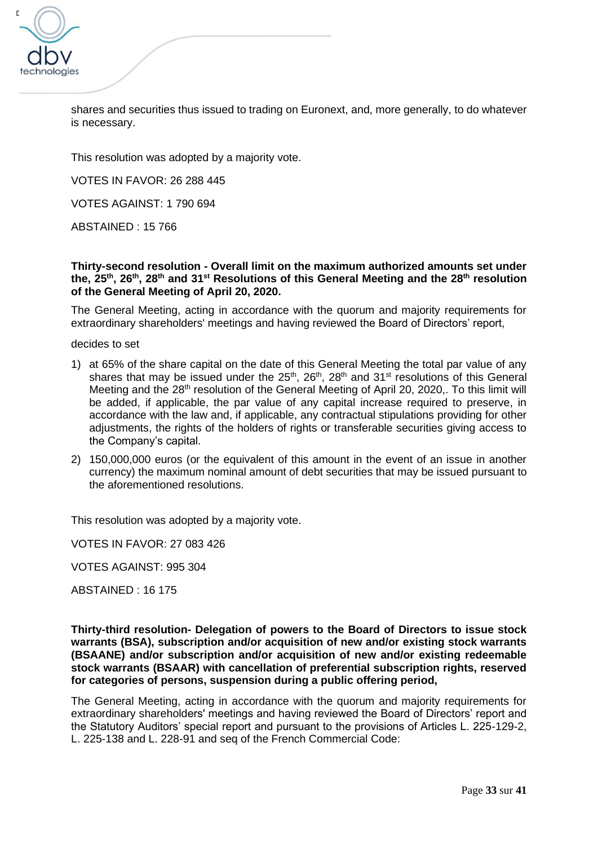

shares and securities thus issued to trading on Euronext, and, more generally, to do whatever is necessary.

This resolution was adopted by a majority vote.

VOTES IN FAVOR: 26 288 445

VOTES AGAINST: 1 790 694

ABSTAINED : 15 766

**Thirty-second resolution - Overall limit on the maximum authorized amounts set under the, 25th, 26th, 28th and 31st Resolutions of this General Meeting and the 28th resolution of the General Meeting of April 20, 2020.**

The General Meeting, acting in accordance with the quorum and majority requirements for extraordinary shareholders' meetings and having reviewed the Board of Directors' report,

decides to set

- 1) at 65% of the share capital on the date of this General Meeting the total par value of any shares that may be issued under the  $25<sup>th</sup>$ ,  $26<sup>th</sup>$ ,  $28<sup>th</sup>$  and  $31<sup>st</sup>$  resolutions of this General Meeting and the 28<sup>th</sup> resolution of the General Meeting of April 20, 2020,. To this limit will be added, if applicable, the par value of any capital increase required to preserve, in accordance with the law and, if applicable, any contractual stipulations providing for other adjustments, the rights of the holders of rights or transferable securities giving access to the Company's capital.
- 2) 150,000,000 euros (or the equivalent of this amount in the event of an issue in another currency) the maximum nominal amount of debt securities that may be issued pursuant to the aforementioned resolutions.

This resolution was adopted by a majority vote.

VOTES IN FAVOR: 27 083 426

VOTES AGAINST: 995 304

ABSTAINED : 16 175

**Thirty-third resolution- Delegation of powers to the Board of Directors to issue stock warrants (BSA), subscription and/or acquisition of new and/or existing stock warrants (BSAANE) and/or subscription and/or acquisition of new and/or existing redeemable stock warrants (BSAAR) with cancellation of preferential subscription rights, reserved for categories of persons, suspension during a public offering period,**

The General Meeting, acting in accordance with the quorum and majority requirements for extraordinary shareholders' meetings and having reviewed the Board of Directors' report and the Statutory Auditors' special report and pursuant to the provisions of Articles L. 225-129-2, L. 225-138 and L. 228-91 and seq of the French Commercial Code: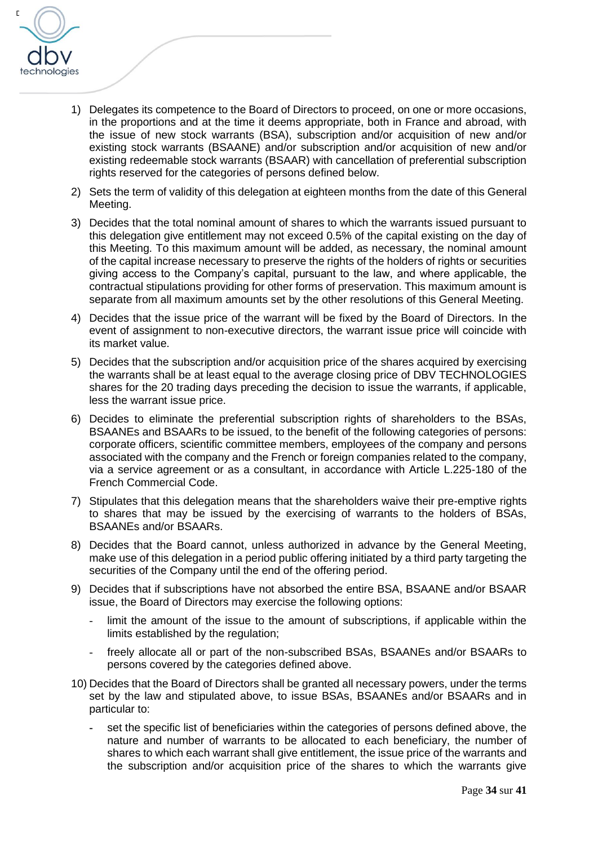

- 1) Delegates its competence to the Board of Directors to proceed, on one or more occasions, in the proportions and at the time it deems appropriate, both in France and abroad, with the issue of new stock warrants (BSA), subscription and/or acquisition of new and/or existing stock warrants (BSAANE) and/or subscription and/or acquisition of new and/or existing redeemable stock warrants (BSAAR) with cancellation of preferential subscription rights reserved for the categories of persons defined below.
- 2) Sets the term of validity of this delegation at eighteen months from the date of this General Meeting.
- 3) Decides that the total nominal amount of shares to which the warrants issued pursuant to this delegation give entitlement may not exceed 0.5% of the capital existing on the day of this Meeting. To this maximum amount will be added, as necessary, the nominal amount of the capital increase necessary to preserve the rights of the holders of rights or securities giving access to the Company's capital, pursuant to the law, and where applicable, the contractual stipulations providing for other forms of preservation. This maximum amount is separate from all maximum amounts set by the other resolutions of this General Meeting.
- 4) Decides that the issue price of the warrant will be fixed by the Board of Directors. In the event of assignment to non-executive directors, the warrant issue price will coincide with its market value.
- 5) Decides that the subscription and/or acquisition price of the shares acquired by exercising the warrants shall be at least equal to the average closing price of DBV TECHNOLOGIES shares for the 20 trading days preceding the decision to issue the warrants, if applicable, less the warrant issue price.
- 6) Decides to eliminate the preferential subscription rights of shareholders to the BSAs, BSAANEs and BSAARs to be issued, to the benefit of the following categories of persons: corporate officers, scientific committee members, employees of the company and persons associated with the company and the French or foreign companies related to the company, via a service agreement or as a consultant, in accordance with Article L.225-180 of the French Commercial Code.
- 7) Stipulates that this delegation means that the shareholders waive their pre-emptive rights to shares that may be issued by the exercising of warrants to the holders of BSAs, BSAANEs and/or BSAARs.
- 8) Decides that the Board cannot, unless authorized in advance by the General Meeting, make use of this delegation in a period public offering initiated by a third party targeting the securities of the Company until the end of the offering period.
- 9) Decides that if subscriptions have not absorbed the entire BSA, BSAANE and/or BSAAR issue, the Board of Directors may exercise the following options:
	- limit the amount of the issue to the amount of subscriptions, if applicable within the limits established by the regulation;
	- freely allocate all or part of the non-subscribed BSAs, BSAANEs and/or BSAARs to persons covered by the categories defined above.
- 10) Decides that the Board of Directors shall be granted all necessary powers, under the terms set by the law and stipulated above, to issue BSAs, BSAANEs and/or BSAARs and in particular to:
	- **-** set the specific list of beneficiaries within the categories of persons defined above, the nature and number of warrants to be allocated to each beneficiary, the number of shares to which each warrant shall give entitlement, the issue price of the warrants and the subscription and/or acquisition price of the shares to which the warrants give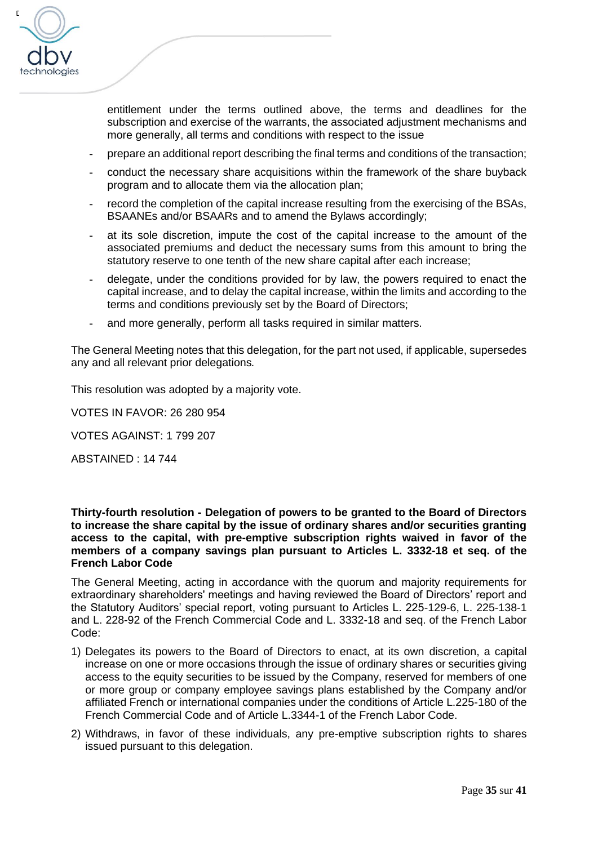

entitlement under the terms outlined above, the terms and deadlines for the subscription and exercise of the warrants, the associated adjustment mechanisms and more generally, all terms and conditions with respect to the issue

- **-** prepare an additional report describing the final terms and conditions of the transaction;
- **-** conduct the necessary share acquisitions within the framework of the share buyback program and to allocate them via the allocation plan;
- **-** record the completion of the capital increase resulting from the exercising of the BSAs, BSAANEs and/or BSAARs and to amend the Bylaws accordingly;
- **-** at its sole discretion, impute the cost of the capital increase to the amount of the associated premiums and deduct the necessary sums from this amount to bring the statutory reserve to one tenth of the new share capital after each increase;
- **-** delegate, under the conditions provided for by law, the powers required to enact the capital increase, and to delay the capital increase, within the limits and according to the terms and conditions previously set by the Board of Directors;
- **-** and more generally, perform all tasks required in similar matters.

The General Meeting notes that this delegation, for the part not used, if applicable, supersedes any and all relevant prior delegations*.*

This resolution was adopted by a majority vote.

VOTES IN FAVOR: 26 280 954

VOTES AGAINST: 1 799 207

ABSTAINED : 14 744

**Thirty-fourth resolution - Delegation of powers to be granted to the Board of Directors to increase the share capital by the issue of ordinary shares and/or securities granting access to the capital, with pre-emptive subscription rights waived in favor of the members of a company savings plan pursuant to Articles L. 3332-18 et seq. of the French Labor Code**

The General Meeting, acting in accordance with the quorum and majority requirements for extraordinary shareholders' meetings and having reviewed the Board of Directors' report and the Statutory Auditors' special report, voting pursuant to Articles L. 225-129-6, L. 225-138-1 and L. 228-92 of the French Commercial Code and L. 3332-18 and seq. of the French Labor Code:

- 1) Delegates its powers to the Board of Directors to enact, at its own discretion, a capital increase on one or more occasions through the issue of ordinary shares or securities giving access to the equity securities to be issued by the Company, reserved for members of one or more group or company employee savings plans established by the Company and/or affiliated French or international companies under the conditions of Article L.225-180 of the French Commercial Code and of Article L.3344-1 of the French Labor Code.
- 2) Withdraws, in favor of these individuals, any pre-emptive subscription rights to shares issued pursuant to this delegation.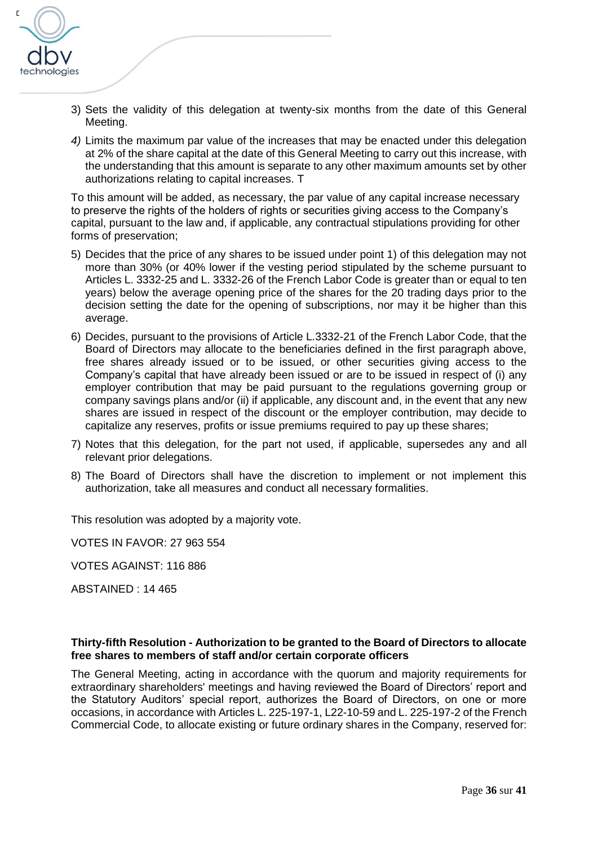

- 3) Sets the validity of this delegation at twenty-six months from the date of this General Meeting.
- *4)* Limits the maximum par value of the increases that may be enacted under this delegation at 2% of the share capital at the date of this General Meeting to carry out this increase, with the understanding that this amount is separate to any other maximum amounts set by other authorizations relating to capital increases. T

To this amount will be added, as necessary, the par value of any capital increase necessary to preserve the rights of the holders of rights or securities giving access to the Company's capital, pursuant to the law and, if applicable, any contractual stipulations providing for other forms of preservation;

- 5) Decides that the price of any shares to be issued under point 1) of this delegation may not more than 30% (or 40% lower if the vesting period stipulated by the scheme pursuant to Articles L. 3332-25 and L. 3332-26 of the French Labor Code is greater than or equal to ten years) below the average opening price of the shares for the 20 trading days prior to the decision setting the date for the opening of subscriptions, nor may it be higher than this average.
- 6) Decides, pursuant to the provisions of Article L.3332-21 of the French Labor Code, that the Board of Directors may allocate to the beneficiaries defined in the first paragraph above, free shares already issued or to be issued, or other securities giving access to the Company's capital that have already been issued or are to be issued in respect of (i) any employer contribution that may be paid pursuant to the regulations governing group or company savings plans and/or (ii) if applicable, any discount and, in the event that any new shares are issued in respect of the discount or the employer contribution, may decide to capitalize any reserves, profits or issue premiums required to pay up these shares;
- 7) Notes that this delegation, for the part not used, if applicable, supersedes any and all relevant prior delegations.
- 8) The Board of Directors shall have the discretion to implement or not implement this authorization, take all measures and conduct all necessary formalities.

This resolution was adopted by a majority vote.

VOTES IN FAVOR: 27 963 554

VOTES AGAINST: 116 886

ABSTAINED : 14 465

#### **Thirty-fifth Resolution - Authorization to be granted to the Board of Directors to allocate free shares to members of staff and/or certain corporate officers**

The General Meeting, acting in accordance with the quorum and majority requirements for extraordinary shareholders' meetings and having reviewed the Board of Directors' report and the Statutory Auditors' special report, authorizes the Board of Directors, on one or more occasions, in accordance with Articles L. 225-197-1, L22-10-59 and L. 225-197-2 of the French Commercial Code, to allocate existing or future ordinary shares in the Company, reserved for: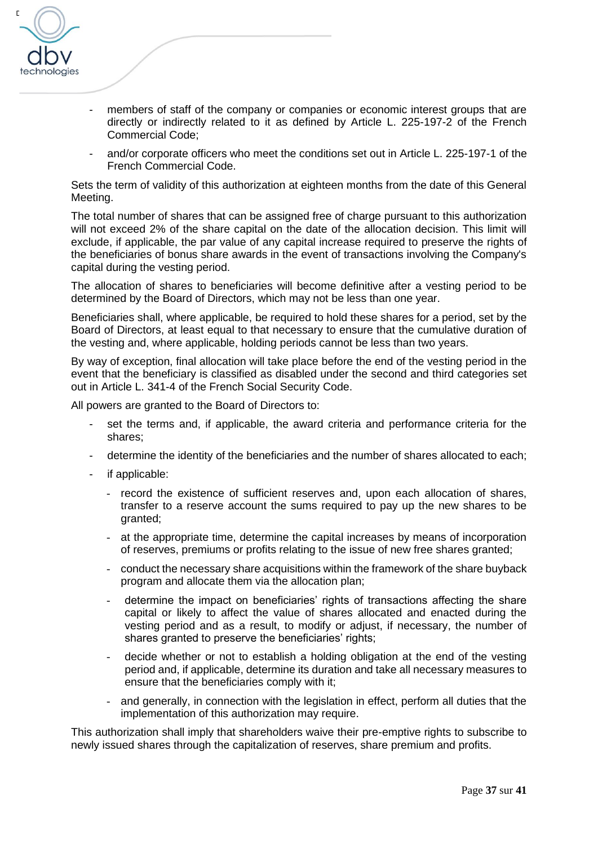

- members of staff of the company or companies or economic interest groups that are directly or indirectly related to it as defined by Article L. 225-197-2 of the French Commercial Code;
- and/or corporate officers who meet the conditions set out in Article L. 225-197-1 of the French Commercial Code.

Sets the term of validity of this authorization at eighteen months from the date of this General Meeting.

The total number of shares that can be assigned free of charge pursuant to this authorization will not exceed 2% of the share capital on the date of the allocation decision. This limit will exclude, if applicable, the par value of any capital increase required to preserve the rights of the beneficiaries of bonus share awards in the event of transactions involving the Company's capital during the vesting period.

The allocation of shares to beneficiaries will become definitive after a vesting period to be determined by the Board of Directors, which may not be less than one year.

Beneficiaries shall, where applicable, be required to hold these shares for a period, set by the Board of Directors, at least equal to that necessary to ensure that the cumulative duration of the vesting and, where applicable, holding periods cannot be less than two years.

By way of exception, final allocation will take place before the end of the vesting period in the event that the beneficiary is classified as disabled under the second and third categories set out in Article L. 341-4 of the French Social Security Code.

All powers are granted to the Board of Directors to:

- set the terms and, if applicable, the award criteria and performance criteria for the shares;
- determine the identity of the beneficiaries and the number of shares allocated to each;
- if applicable:
	- record the existence of sufficient reserves and, upon each allocation of shares, transfer to a reserve account the sums required to pay up the new shares to be granted;
	- at the appropriate time, determine the capital increases by means of incorporation of reserves, premiums or profits relating to the issue of new free shares granted;
	- conduct the necessary share acquisitions within the framework of the share buyback program and allocate them via the allocation plan;
	- determine the impact on beneficiaries' rights of transactions affecting the share capital or likely to affect the value of shares allocated and enacted during the vesting period and as a result, to modify or adjust, if necessary, the number of shares granted to preserve the beneficiaries' rights;
	- decide whether or not to establish a holding obligation at the end of the vesting period and, if applicable, determine its duration and take all necessary measures to ensure that the beneficiaries comply with it;
	- and generally, in connection with the legislation in effect, perform all duties that the implementation of this authorization may require.

This authorization shall imply that shareholders waive their pre-emptive rights to subscribe to newly issued shares through the capitalization of reserves, share premium and profits.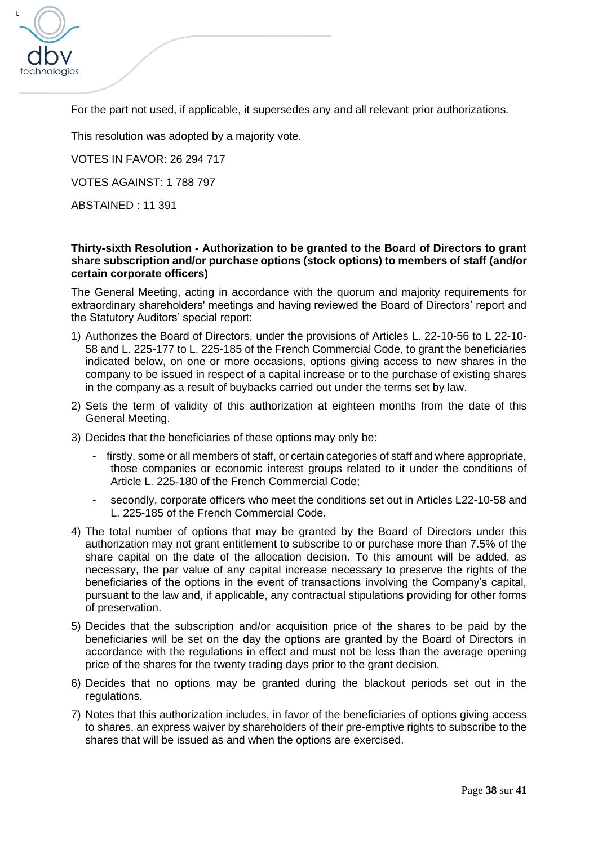

For the part not used, if applicable, it supersedes any and all relevant prior authorizations*.* 

This resolution was adopted by a majority vote.

VOTES IN FAVOR: 26 294 717

VOTES AGAINST: 1 788 797

ABSTAINED : 11 391

### **Thirty-sixth Resolution - Authorization to be granted to the Board of Directors to grant share subscription and/or purchase options (stock options) to members of staff (and/or certain corporate officers)**

The General Meeting, acting in accordance with the quorum and majority requirements for extraordinary shareholders' meetings and having reviewed the Board of Directors' report and the Statutory Auditors' special report:

- 1) Authorizes the Board of Directors, under the provisions of Articles L. 22-10-56 to L 22-10- 58 and L. 225-177 to L. 225-185 of the French Commercial Code, to grant the beneficiaries indicated below, on one or more occasions, options giving access to new shares in the company to be issued in respect of a capital increase or to the purchase of existing shares in the company as a result of buybacks carried out under the terms set by law.
- 2) Sets the term of validity of this authorization at eighteen months from the date of this General Meeting.
- 3) Decides that the beneficiaries of these options may only be:
	- firstly, some or all members of staff, or certain categories of staff and where appropriate, those companies or economic interest groups related to it under the conditions of Article L. 225-180 of the French Commercial Code;
	- secondly, corporate officers who meet the conditions set out in Articles L22-10-58 and L. 225-185 of the French Commercial Code.
- 4) The total number of options that may be granted by the Board of Directors under this authorization may not grant entitlement to subscribe to or purchase more than 7.5% of the share capital on the date of the allocation decision. To this amount will be added, as necessary, the par value of any capital increase necessary to preserve the rights of the beneficiaries of the options in the event of transactions involving the Company's capital, pursuant to the law and, if applicable, any contractual stipulations providing for other forms of preservation.
- 5) Decides that the subscription and/or acquisition price of the shares to be paid by the beneficiaries will be set on the day the options are granted by the Board of Directors in accordance with the regulations in effect and must not be less than the average opening price of the shares for the twenty trading days prior to the grant decision.
- 6) Decides that no options may be granted during the blackout periods set out in the regulations.
- 7) Notes that this authorization includes, in favor of the beneficiaries of options giving access to shares, an express waiver by shareholders of their pre-emptive rights to subscribe to the shares that will be issued as and when the options are exercised.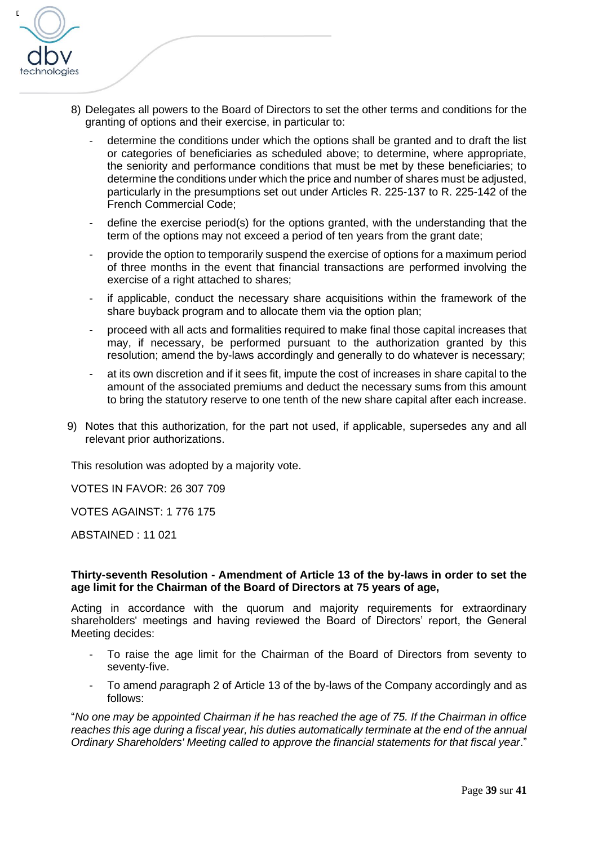

- 8) Delegates all powers to the Board of Directors to set the other terms and conditions for the granting of options and their exercise, in particular to:
	- determine the conditions under which the options shall be granted and to draft the list or categories of beneficiaries as scheduled above; to determine, where appropriate, the seniority and performance conditions that must be met by these beneficiaries; to determine the conditions under which the price and number of shares must be adjusted, particularly in the presumptions set out under Articles R. 225-137 to R. 225-142 of the French Commercial Code;
	- define the exercise period(s) for the options granted, with the understanding that the term of the options may not exceed a period of ten years from the grant date;
	- provide the option to temporarily suspend the exercise of options for a maximum period of three months in the event that financial transactions are performed involving the exercise of a right attached to shares;
	- if applicable, conduct the necessary share acquisitions within the framework of the share buyback program and to allocate them via the option plan;
	- proceed with all acts and formalities required to make final those capital increases that may, if necessary, be performed pursuant to the authorization granted by this resolution; amend the by-laws accordingly and generally to do whatever is necessary;
	- at its own discretion and if it sees fit, impute the cost of increases in share capital to the amount of the associated premiums and deduct the necessary sums from this amount to bring the statutory reserve to one tenth of the new share capital after each increase.
- 9) Notes that this authorization, for the part not used, if applicable, supersedes any and all relevant prior authorizations.

This resolution was adopted by a majority vote.

VOTES IN FAVOR: 26 307 709

VOTES AGAINST: 1 776 175

ABSTAINED : 11 021

#### **Thirty-seventh Resolution - Amendment of Article 13 of the by-laws in order to set the age limit for the Chairman of the Board of Directors at 75 years of age,**

Acting in accordance with the quorum and majority requirements for extraordinary shareholders' meetings and having reviewed the Board of Directors' report, the General Meeting decides:

- To raise the age limit for the Chairman of the Board of Directors from seventy to seventy-five.
- To amend *paragraph* 2 of Article 13 of the by-laws of the Company accordingly and as follows:

"*No one may be appointed Chairman if he has reached the age of 75. If the Chairman in office reaches this age during a fiscal year, his duties automatically terminate at the end of the annual Ordinary Shareholders' Meeting called to approve the financial statements for that fiscal year*."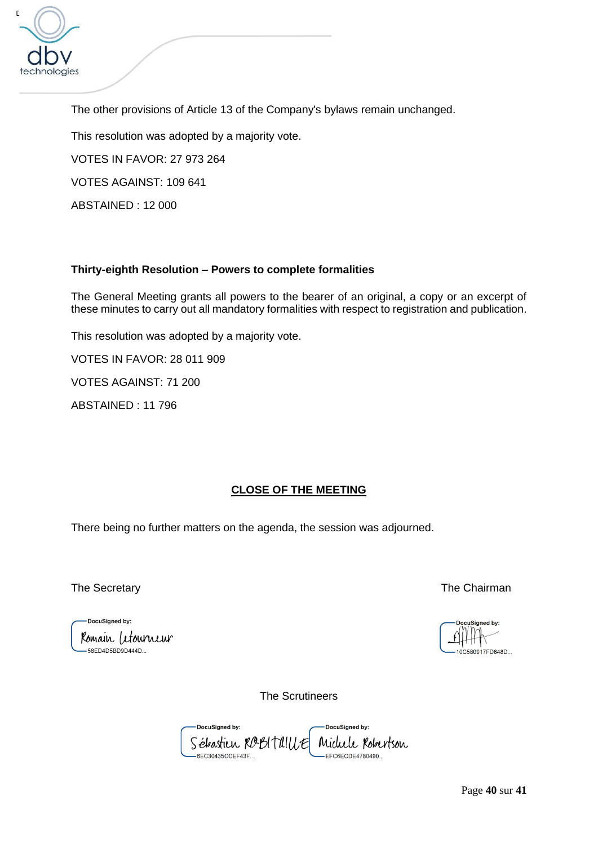

The other provisions of Article 13 of the Company's bylaws remain unchanged.

This resolution was adopted by a majority vote.

VOTES IN FAVOR: 27 973 264

VOTES AGAINST: 109 641

ABSTAINED : 12 000

## **Thirty-eighth Resolution – Powers to complete formalities**

The General Meeting grants all powers to the bearer of an original, a copy or an excerpt of these minutes to carry out all mandatory formalities with respect to registration and publication.

This resolution was adopted by a majority vote.

VOTES IN FAVOR: 28 011 909

VOTES AGAINST: 71 200

ABSTAINED : 11 796

## **CLOSE OF THE MEETING**

There being no further matters on the agenda, the session was adjourned.

-DocuSigned by: Romain Letourneur  $-58$ ED4D5BD9D444D

The Secretary The Chairman

Signed by: 10C580917FD648D

The Scrutineers

DocuSigned by: DocuSigned by: Sébastien ROBITAILLE Michele Robertson -6EC30435CCEF43F... EFC6ECDE4780490..